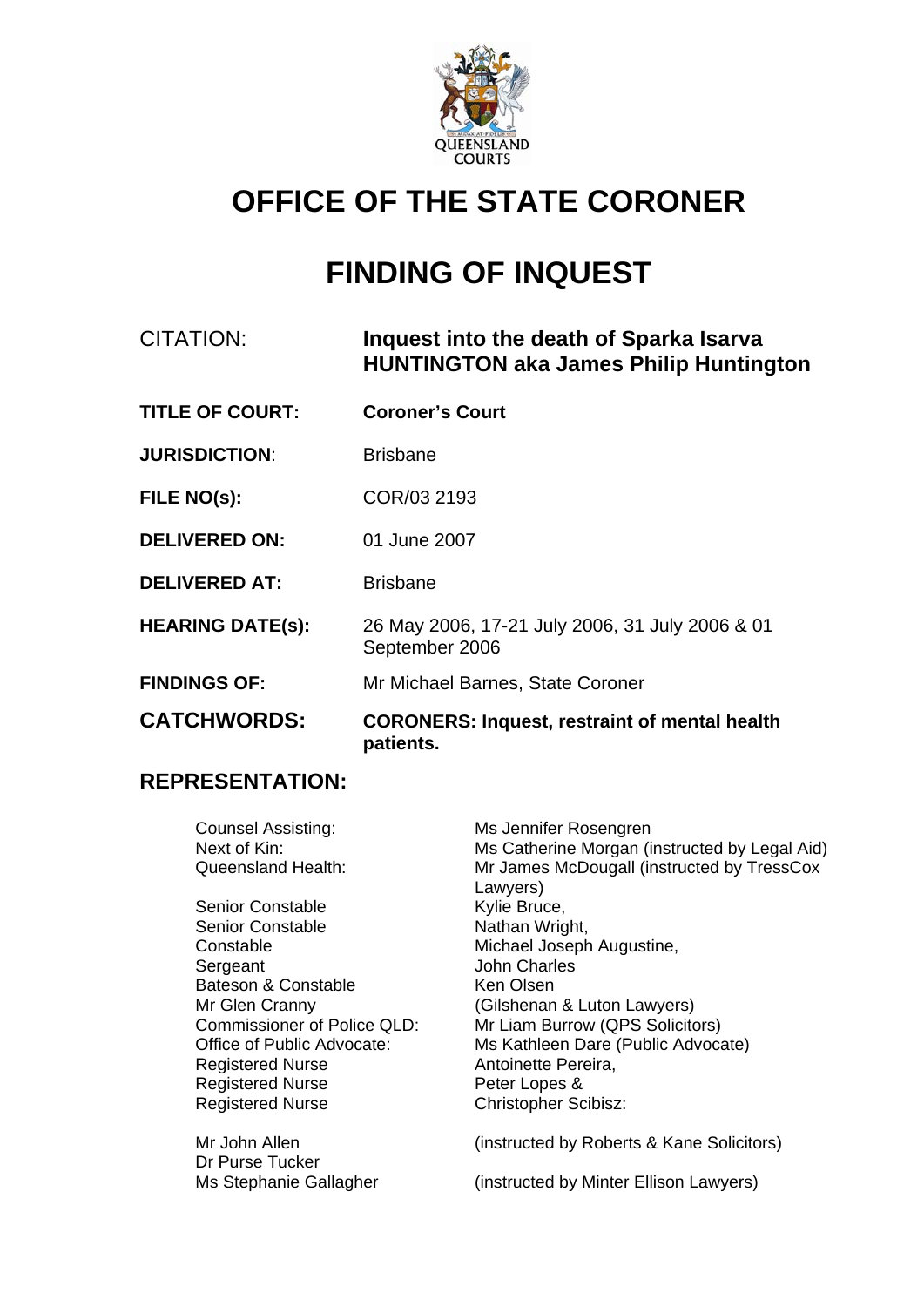

# **OFFICE OF THE STATE CORONER**

# **FINDING OF INQUEST**

## CITATION: **Inquest into the death of Sparka Isarva HUNTINGTON aka James Philip Huntington**

- **TITLE OF COURT: Coroner's Court**
- **JURISDICTION:** Brisbane
- **FILE NO(s):** COR/03 2193
- **DELIVERED ON:** 01 June 2007
- **DELIVERED AT:** Brisbane
- **HEARING DATE(s):** 26 May 2006, 17-21 July 2006, 31 July 2006 & 01 September 2006
- **FINDINGS OF:** Mr Michael Barnes, State Coroner
- **CATCHWORDS: CORONERS: Inquest, restraint of mental health patients.**

#### **REPRESENTATION:**

Counsel Assisting: Ms Jennifer Rosengren Next of Kin: Ms Catherine Morgan (instructed by Legal Aid) Queensland Health: Mr James McDougall (instructed by TressCox Lawyers) Senior Constable **Kylie Bruce,**<br>
Senior Constable **Kylie Bruce**,<br>
Nathan Wright. Senior Constable Constable Michael Joseph Augustine, Sergeant John Charles Bateson & Constable Ken Olsen Mr Glen Cranny (Gilshenan & Luton Lawyers) Commissioner of Police QLD: Mr Liam Burrow (QPS Solicitors)<br>Office of Public Advocate: Ms Kathleen Dare (Public Advoca Ms Kathleen Dare (Public Advocate) Registered Nurse **Antoinette Pereira**, Registered Nurse **Peter Lopes &** Registered Nurse Christopher Scibisz: Mr John Allen (instructed by Roberts & Kane Solicitors) Dr Purse Tucker Ms Stephanie Gallagher (instructed by Minter Ellison Lawyers)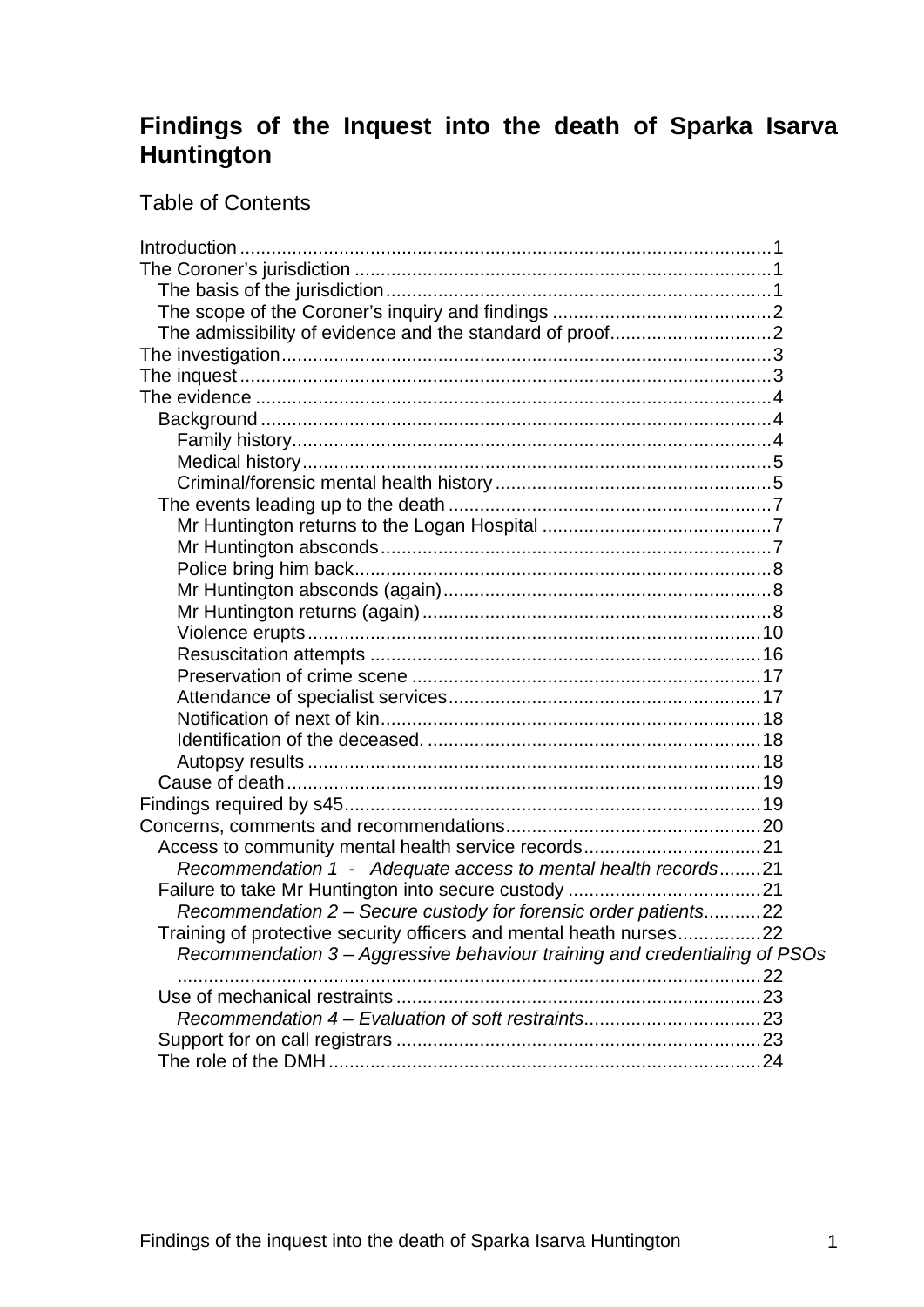## **Findings of the Inquest into the death of Sparka Isarva Huntington**

## Table of Contents

| Recommendation 1 - Adequate access to mental health records21              |  |
|----------------------------------------------------------------------------|--|
|                                                                            |  |
| Recommendation 2 - Secure custody for forensic order patients22            |  |
| Training of protective security officers and mental heath nurses22         |  |
| Recommendation 3 - Aggressive behaviour training and credentialing of PSOs |  |
|                                                                            |  |
|                                                                            |  |
|                                                                            |  |
|                                                                            |  |
|                                                                            |  |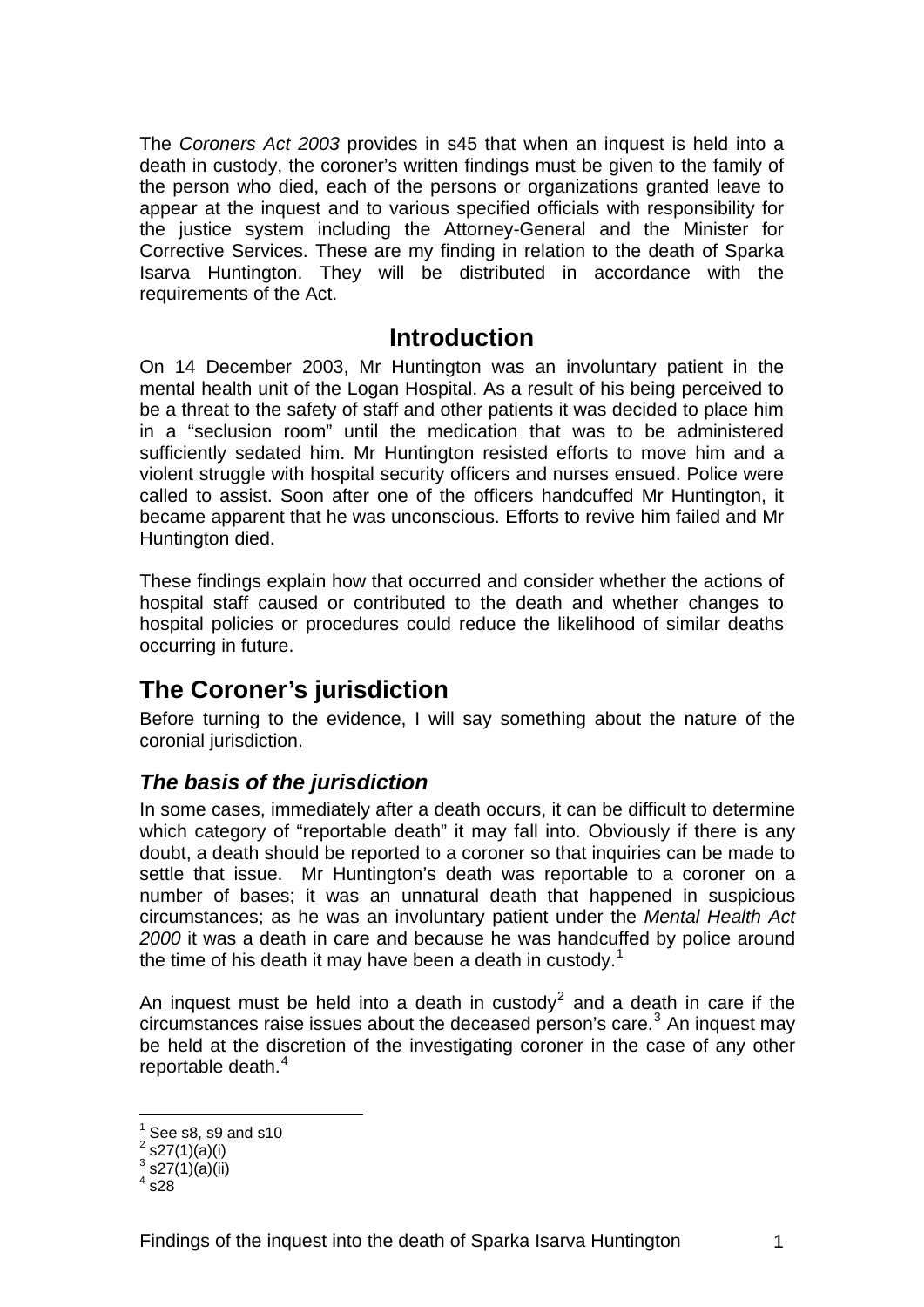<span id="page-2-0"></span>The *Coroners Act 2003* provides in s45 that when an inquest is held into a death in custody, the coroner's written findings must be given to the family of the person who died, each of the persons or organizations granted leave to appear at the inquest and to various specified officials with responsibility for the justice system including the Attorney-General and the Minister for Corrective Services. These are my finding in relation to the death of Sparka Isarva Huntington. They will be distributed in accordance with the requirements of the Act.

## **Introduction**

On 14 December 2003, Mr Huntington was an involuntary patient in the mental health unit of the Logan Hospital. As a result of his being perceived to be a threat to the safety of staff and other patients it was decided to place him in a "seclusion room" until the medication that was to be administered sufficiently sedated him. Mr Huntington resisted efforts to move him and a violent struggle with hospital security officers and nurses ensued. Police were called to assist. Soon after one of the officers handcuffed Mr Huntington, it became apparent that he was unconscious. Efforts to revive him failed and Mr Huntington died.

These findings explain how that occurred and consider whether the actions of hospital staff caused or contributed to the death and whether changes to hospital policies or procedures could reduce the likelihood of similar deaths occurring in future.

## **The Coroner's jurisdiction**

Before turning to the evidence, I will say something about the nature of the coronial jurisdiction.

## *The basis of the jurisdiction*

In some cases, immediately after a death occurs, it can be difficult to determine which category of "reportable death" it may fall into. Obviously if there is any doubt, a death should be reported to a coroner so that inquiries can be made to settle that issue. Mr Huntington's death was reportable to a coroner on a number of bases; it was an unnatural death that happened in suspicious circumstances; as he was an involuntary patient under the *Mental Health Act 2000* it was a death in care and because he was handcuffed by police around the time of his death it may have been a death in custody.<sup>[1](#page-2-1)</sup>

An inquest must be held into a death in custody<sup>[2](#page-2-2)</sup> and a death in care if the circumstances raise issues about the deceased person's care. $3$  An inquest may be held at the discretion of the investigating coroner in the case of any other reportable death.<sup>[4](#page-2-4)</sup>

<sup>&</sup>lt;u>1</u> See s8, s9 and s10

<span id="page-2-2"></span><span id="page-2-1"></span> $2^{2}$  s27(1)(a)(i)

<span id="page-2-4"></span><span id="page-2-3"></span> $^3$  s27(1)(a)(ii)

 $4$  s28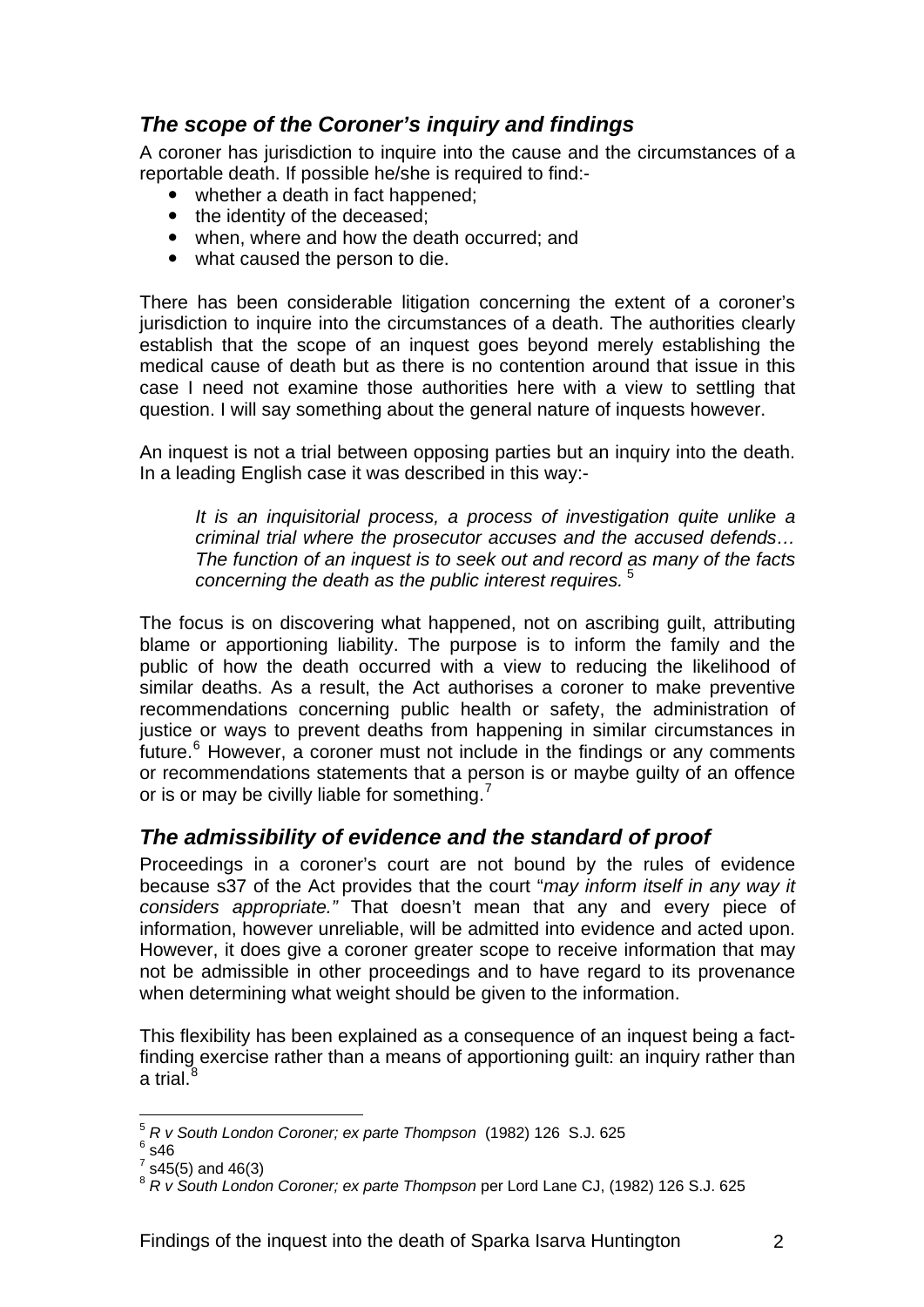## <span id="page-3-0"></span>*The scope of the Coroner's inquiry and findings*

A coroner has jurisdiction to inquire into the cause and the circumstances of a reportable death. If possible he/she is required to find:-

- whether a death in fact happened;
- the identity of the deceased:
- when, where and how the death occurred; and
- what caused the person to die.

There has been considerable litigation concerning the extent of a coroner's jurisdiction to inquire into the circumstances of a death. The authorities clearly establish that the scope of an inquest goes beyond merely establishing the medical cause of death but as there is no contention around that issue in this case I need not examine those authorities here with a view to settling that question. I will say something about the general nature of inquests however.

An inquest is not a trial between opposing parties but an inquiry into the death. In a leading English case it was described in this way:-

*It is an inquisitorial process, a process of investigation quite unlike a criminal trial where the prosecutor accuses and the accused defends… The function of an inquest is to seek out and record as many of the facts concerning the death as the public interest requires.* [5](#page-3-1)

The focus is on discovering what happened, not on ascribing guilt, attributing blame or apportioning liability. The purpose is to inform the family and the public of how the death occurred with a view to reducing the likelihood of similar deaths. As a result, the Act authorises a coroner to make preventive recommendations concerning public health or safety, the administration of justice or ways to prevent deaths from happening in similar circumstances in future.<sup>[6](#page-3-2)</sup> However, a coroner must not include in the findings or any comments or recommendations statements that a person is or maybe guilty of an offence or is or may be civilly liable for something.<sup>[7](#page-3-3)</sup>

## *The admissibility of evidence and the standard of proof*

Proceedings in a coroner's court are not bound by the rules of evidence because s37 of the Act provides that the court "*may inform itself in any way it considers appropriate."* That doesn't mean that any and every piece of information, however unreliable, will be admitted into evidence and acted upon. However, it does give a coroner greater scope to receive information that may not be admissible in other proceedings and to have regard to its provenance when determining what weight should be given to the information.

This flexibility has been explained as a consequence of an inquest being a factfinding exercise rather than a means of apportioning guilt: an inquiry rather than a trial. $8$ 

1

<span id="page-3-1"></span><sup>&</sup>lt;sup>5</sup> R v South London Coroner; ex parte Thompson (1982) 126 S.J. 625<br><sup>6</sup> a46

<span id="page-3-2"></span> $6$  s46

<span id="page-3-3"></span> $7$  s45(5) and 46(3)

<span id="page-3-4"></span><sup>8</sup> *R v South London Coroner; ex parte Thompson* per Lord Lane CJ, (1982) 126 S.J. 625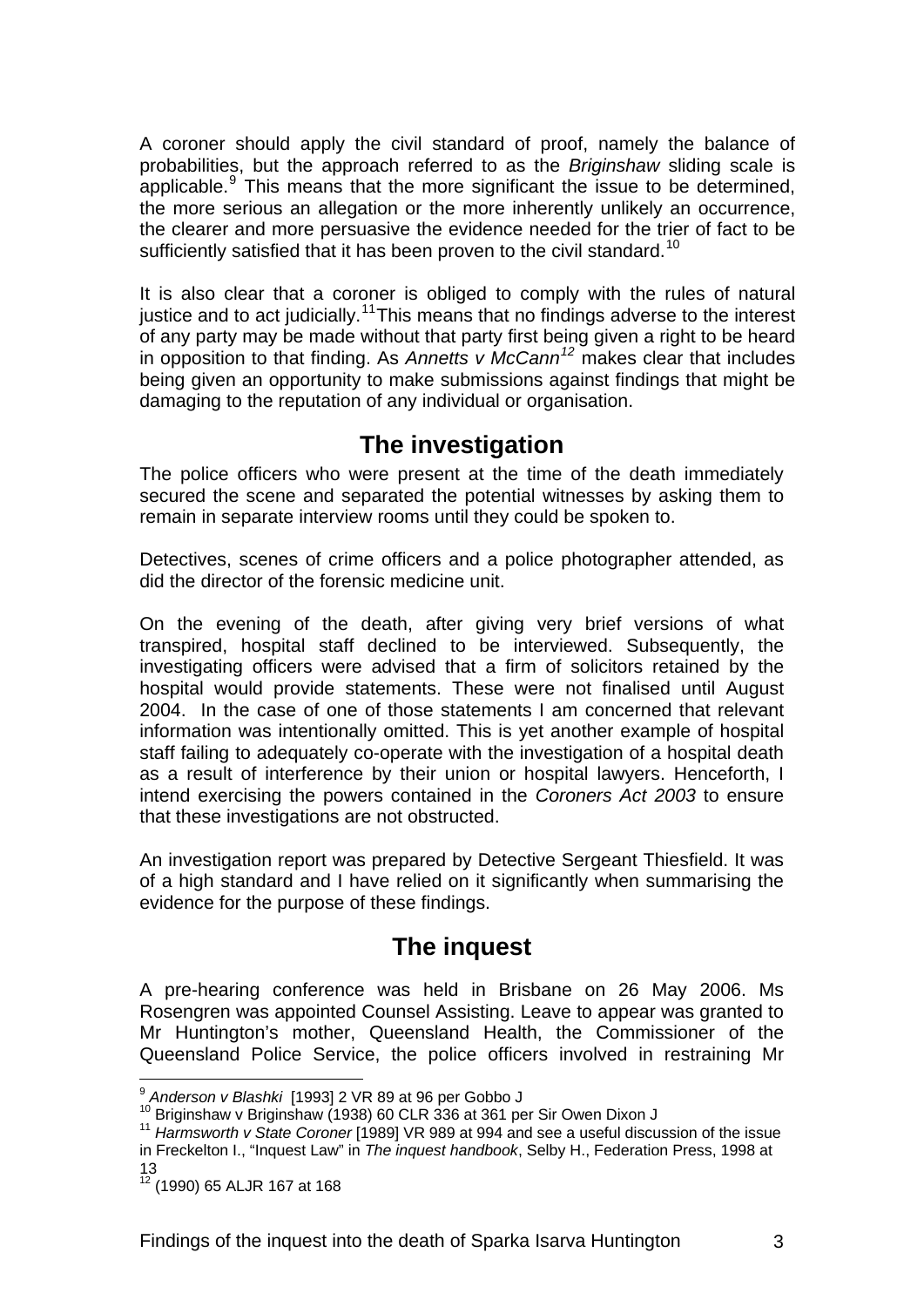<span id="page-4-0"></span>A coroner should apply the civil standard of proof, namely the balance of probabilities, but the approach referred to as the *Briginshaw* sliding scale is applicable. $9$  This means that the more significant the issue to be determined, the more serious an allegation or the more inherently unlikely an occurrence, the clearer and more persuasive the evidence needed for the trier of fact to be sufficiently satisfied that it has been proven to the civil standard.<sup>[10](#page-4-2)</sup>

It is also clear that a coroner is obliged to comply with the rules of natural justice and to act judicially.<sup>[11](#page-4-3)</sup>This means that no findings adverse to the interest of any party may be made without that party first being given a right to be heard in opposition to that finding. As *Annetts v McCann[12](#page-4-4)* makes clear that includes being given an opportunity to make submissions against findings that might be damaging to the reputation of any individual or organisation.

## **The investigation**

The police officers who were present at the time of the death immediately secured the scene and separated the potential witnesses by asking them to remain in separate interview rooms until they could be spoken to.

Detectives, scenes of crime officers and a police photographer attended, as did the director of the forensic medicine unit.

On the evening of the death, after giving very brief versions of what transpired, hospital staff declined to be interviewed. Subsequently, the investigating officers were advised that a firm of solicitors retained by the hospital would provide statements. These were not finalised until August 2004. In the case of one of those statements I am concerned that relevant information was intentionally omitted. This is yet another example of hospital staff failing to adequately co-operate with the investigation of a hospital death as a result of interference by their union or hospital lawyers. Henceforth, I intend exercising the powers contained in the *Coroners Act 2003* to ensure that these investigations are not obstructed.

An investigation report was prepared by Detective Sergeant Thiesfield. It was of a high standard and I have relied on it significantly when summarising the evidence for the purpose of these findings.

## **The inquest**

A pre-hearing conference was held in Brisbane on 26 May 2006. Ms Rosengren was appointed Counsel Assisting. Leave to appear was granted to Mr Huntington's mother, Queensland Health, the Commissioner of the Queensland Police Service, the police officers involved in restraining Mr

1

<span id="page-4-3"></span><span id="page-4-2"></span>

<span id="page-4-1"></span><sup>&</sup>lt;sup>9</sup> Anderson v Blashki [1993] 2 VR 89 at 96 per Gobbo J<br><sup>10</sup> Briginshaw v Briginshaw (1938) 60 CLR 336 at 361 per Sir Owen Dixon J<br><sup>11</sup> Harmsworth v State Coroner [1989] VR 989 at 994 and see a useful discussion of the is in Freckelton I., "Inquest Law" in *The inquest handbook*, Selby H., Federation Press, 1998 at 13

<span id="page-4-4"></span> $12^{12}$  (1990) 65 ALJR 167 at 168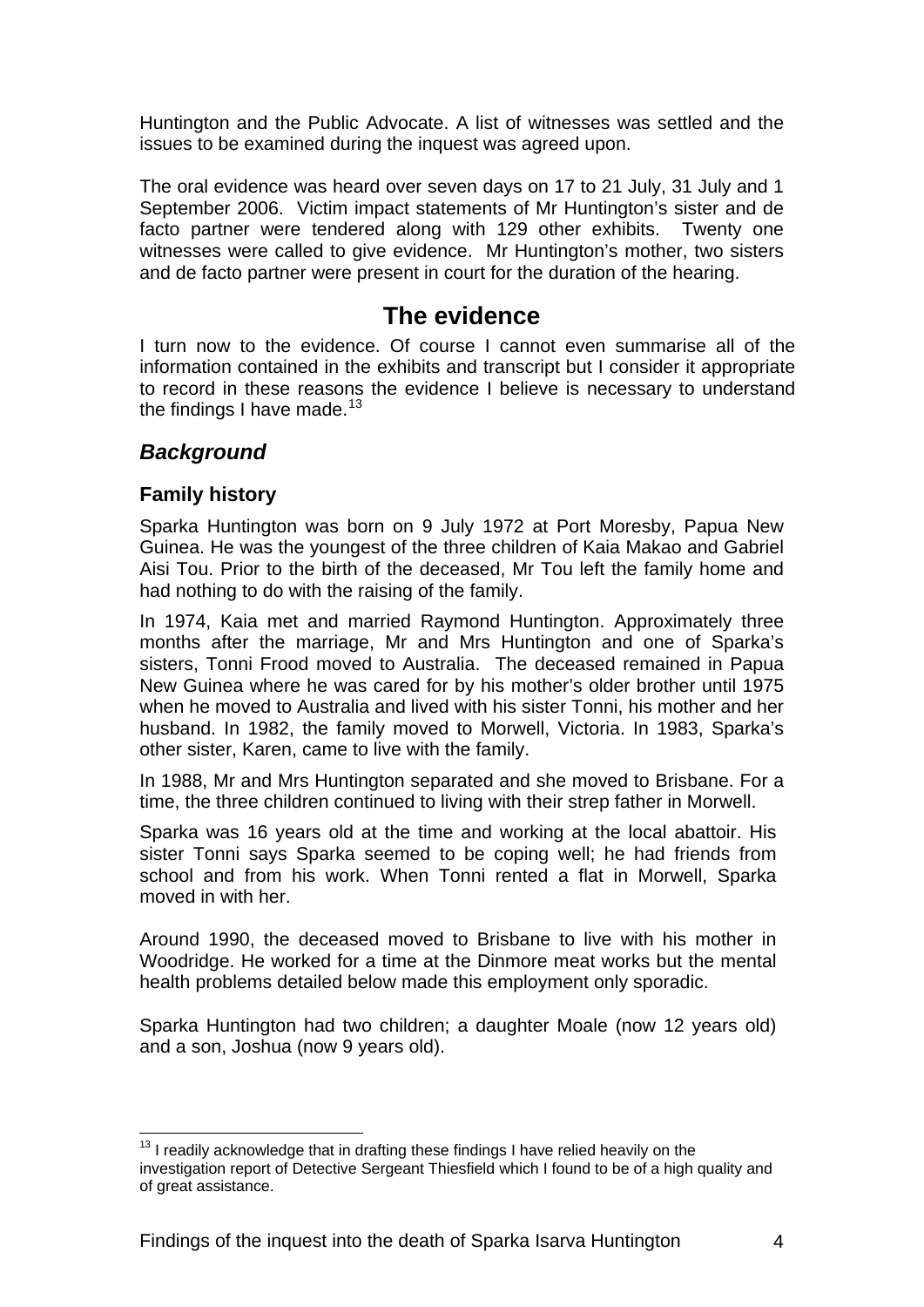<span id="page-5-0"></span>Huntington and the Public Advocate. A list of witnesses was settled and the issues to be examined during the inquest was agreed upon.

The oral evidence was heard over seven days on 17 to 21 July, 31 July and 1 September 2006. Victim impact statements of Mr Huntington's sister and de facto partner were tendered along with 129 other exhibits. Twenty one witnesses were called to give evidence. Mr Huntington's mother, two sisters and de facto partner were present in court for the duration of the hearing.

## **The evidence**

I turn now to the evidence. Of course I cannot even summarise all of the information contained in the exhibits and transcript but I consider it appropriate to record in these reasons the evidence I believe is necessary to understand the findings I have made. $13$ 

## *Background*

#### **Family history**

Sparka Huntington was born on 9 July 1972 at Port Moresby, Papua New Guinea. He was the youngest of the three children of Kaia Makao and Gabriel Aisi Tou. Prior to the birth of the deceased, Mr Tou left the family home and had nothing to do with the raising of the family.

In 1974, Kaia met and married Raymond Huntington. Approximately three months after the marriage, Mr and Mrs Huntington and one of Sparka's sisters, Tonni Frood moved to Australia. The deceased remained in Papua New Guinea where he was cared for by his mother's older brother until 1975 when he moved to Australia and lived with his sister Tonni, his mother and her husband. In 1982, the family moved to Morwell, Victoria. In 1983, Sparka's other sister, Karen, came to live with the family.

In 1988, Mr and Mrs Huntington separated and she moved to Brisbane. For a time, the three children continued to living with their strep father in Morwell.

Sparka was 16 years old at the time and working at the local abattoir. His sister Tonni says Sparka seemed to be coping well; he had friends from school and from his work. When Tonni rented a flat in Morwell, Sparka moved in with her.

Around 1990, the deceased moved to Brisbane to live with his mother in Woodridge. He worked for a time at the Dinmore meat works but the mental health problems detailed below made this employment only sporadic.

Sparka Huntington had two children; a daughter Moale (now 12 years old) and a son, Joshua (now 9 years old).

<span id="page-5-1"></span><sup>1</sup>  $13$  I readily acknowledge that in drafting these findings I have relied heavily on the investigation report of Detective Sergeant Thiesfield which I found to be of a high quality and of great assistance.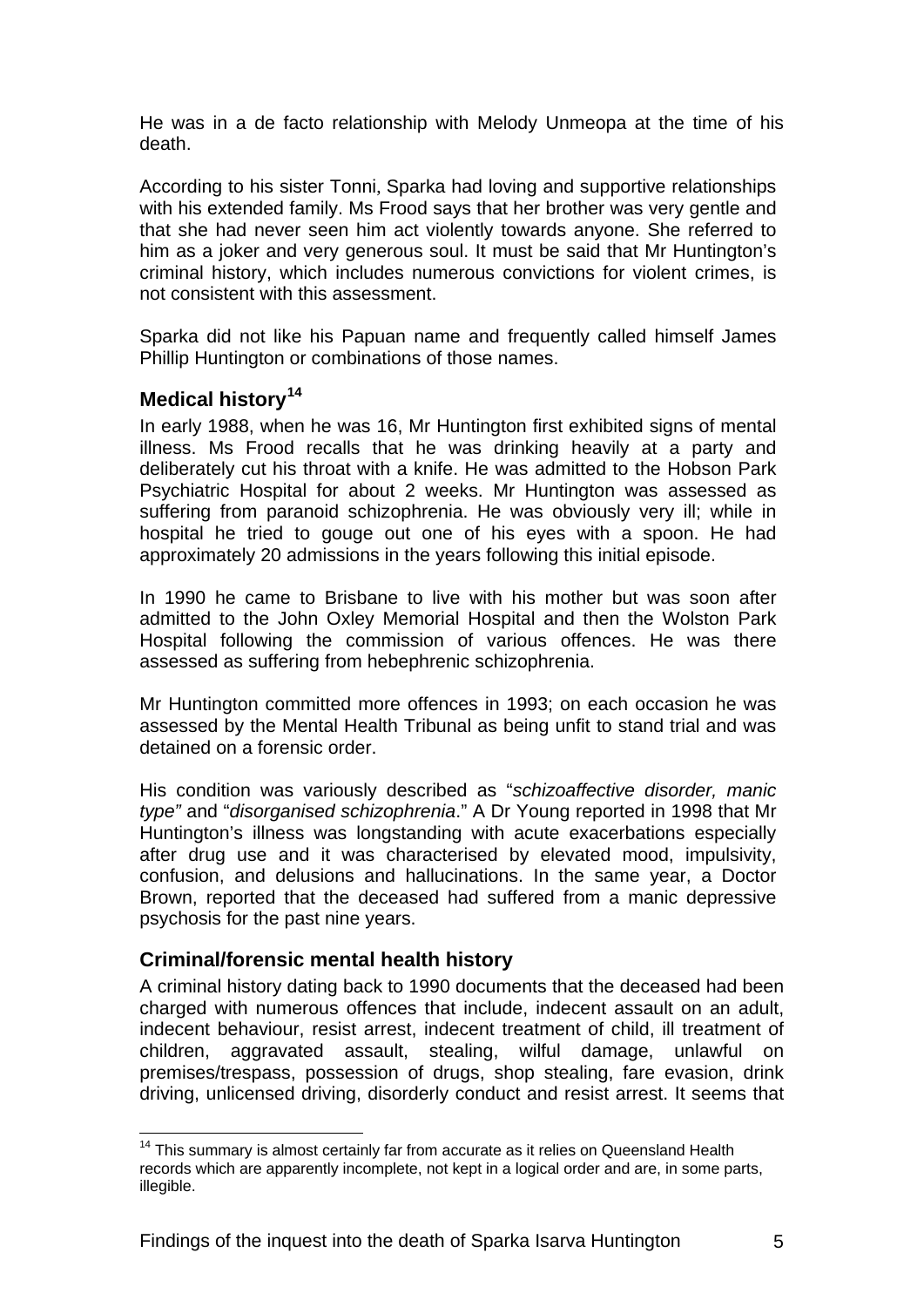<span id="page-6-0"></span>He was in a de facto relationship with Melody Unmeopa at the time of his death.

According to his sister Tonni, Sparka had loving and supportive relationships with his extended family. Ms Frood says that her brother was very gentle and that she had never seen him act violently towards anyone. She referred to him as a joker and very generous soul. It must be said that Mr Huntington's criminal history, which includes numerous convictions for violent crimes, is not consistent with this assessment.

Sparka did not like his Papuan name and frequently called himself James Phillip Huntington or combinations of those names.

#### **Medical history[14](#page-6-1)**

In early 1988, when he was 16, Mr Huntington first exhibited signs of mental illness. Ms Frood recalls that he was drinking heavily at a party and deliberately cut his throat with a knife. He was admitted to the Hobson Park Psychiatric Hospital for about 2 weeks. Mr Huntington was assessed as suffering from paranoid schizophrenia. He was obviously very ill; while in hospital he tried to gouge out one of his eyes with a spoon. He had approximately 20 admissions in the years following this initial episode.

In 1990 he came to Brisbane to live with his mother but was soon after admitted to the John Oxley Memorial Hospital and then the Wolston Park Hospital following the commission of various offences. He was there assessed as suffering from hebephrenic schizophrenia.

Mr Huntington committed more offences in 1993; on each occasion he was assessed by the Mental Health Tribunal as being unfit to stand trial and was detained on a forensic order.

His condition was variously described as "*schizoaffective disorder, manic type"* and "*disorganised schizophrenia*." A Dr Young reported in 1998 that Mr Huntington's illness was longstanding with acute exacerbations especially after drug use and it was characterised by elevated mood, impulsivity, confusion, and delusions and hallucinations. In the same year, a Doctor Brown, reported that the deceased had suffered from a manic depressive psychosis for the past nine years.

#### **Criminal/forensic mental health history**

1

A criminal history dating back to 1990 documents that the deceased had been charged with numerous offences that include, indecent assault on an adult, indecent behaviour, resist arrest, indecent treatment of child, ill treatment of children, aggravated assault, stealing, wilful damage, unlawful on premises/trespass, possession of drugs, shop stealing, fare evasion, drink driving, unlicensed driving, disorderly conduct and resist arrest. It seems that

<span id="page-6-1"></span><sup>&</sup>lt;sup>14</sup> This summary is almost certainly far from accurate as it relies on Queensland Health records which are apparently incomplete, not kept in a logical order and are, in some parts, illegible.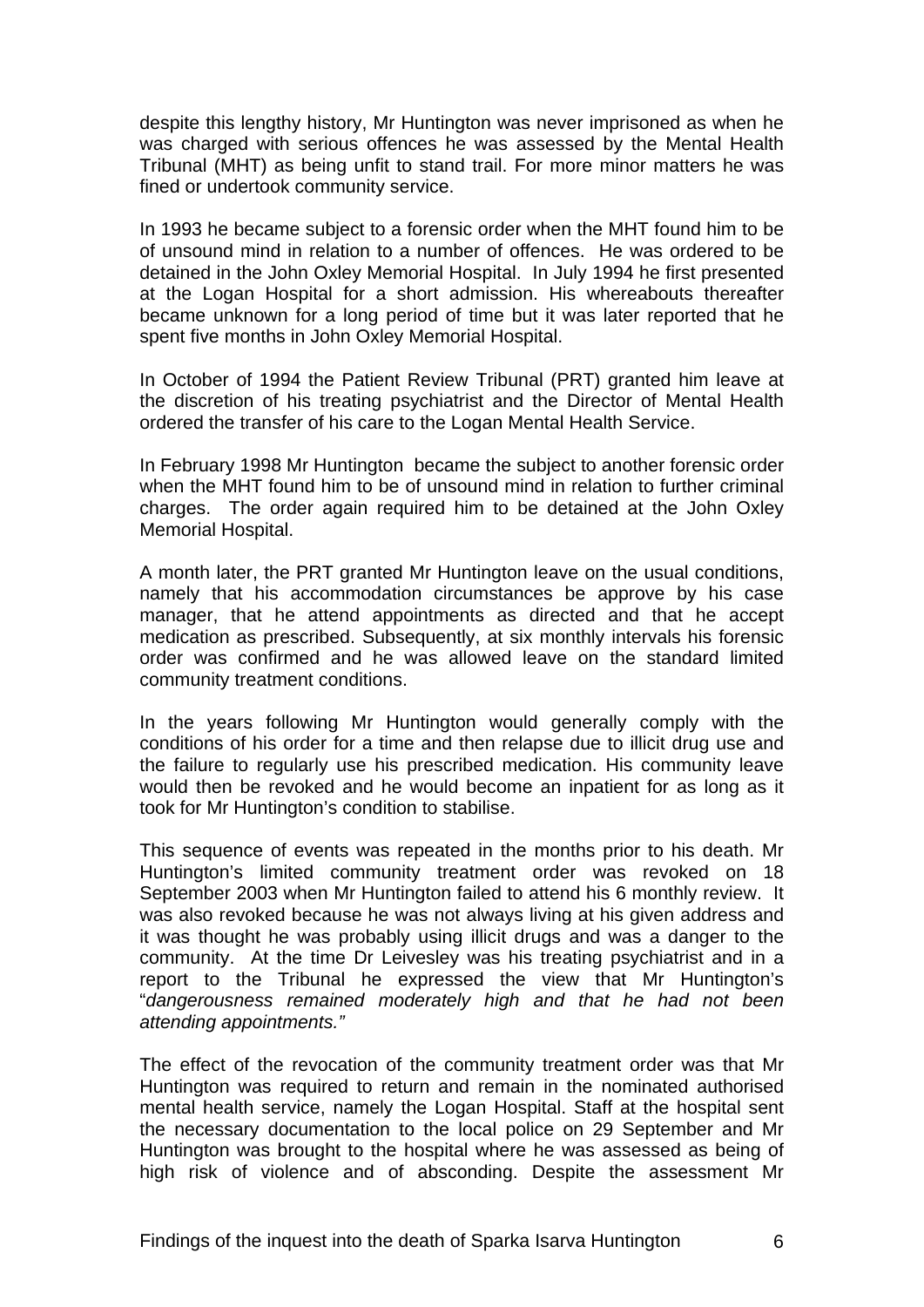despite this lengthy history, Mr Huntington was never imprisoned as when he was charged with serious offences he was assessed by the Mental Health Tribunal (MHT) as being unfit to stand trail. For more minor matters he was fined or undertook community service.

In 1993 he became subject to a forensic order when the MHT found him to be of unsound mind in relation to a number of offences. He was ordered to be detained in the John Oxley Memorial Hospital. In July 1994 he first presented at the Logan Hospital for a short admission. His whereabouts thereafter became unknown for a long period of time but it was later reported that he spent five months in John Oxley Memorial Hospital.

In October of 1994 the Patient Review Tribunal (PRT) granted him leave at the discretion of his treating psychiatrist and the Director of Mental Health ordered the transfer of his care to the Logan Mental Health Service.

In February 1998 Mr Huntington became the subject to another forensic order when the MHT found him to be of unsound mind in relation to further criminal charges. The order again required him to be detained at the John Oxley Memorial Hospital.

A month later, the PRT granted Mr Huntington leave on the usual conditions, namely that his accommodation circumstances be approve by his case manager, that he attend appointments as directed and that he accept medication as prescribed. Subsequently, at six monthly intervals his forensic order was confirmed and he was allowed leave on the standard limited community treatment conditions.

In the years following Mr Huntington would generally comply with the conditions of his order for a time and then relapse due to illicit drug use and the failure to regularly use his prescribed medication. His community leave would then be revoked and he would become an inpatient for as long as it took for Mr Huntington's condition to stabilise.

This sequence of events was repeated in the months prior to his death. Mr Huntington's limited community treatment order was revoked on 18 September 2003 when Mr Huntington failed to attend his 6 monthly review. It was also revoked because he was not always living at his given address and it was thought he was probably using illicit drugs and was a danger to the community. At the time Dr Leivesley was his treating psychiatrist and in a report to the Tribunal he expressed the view that Mr Huntington's "*dangerousness remained moderately high and that he had not been attending appointments."*

The effect of the revocation of the community treatment order was that Mr Huntington was required to return and remain in the nominated authorised mental health service, namely the Logan Hospital. Staff at the hospital sent the necessary documentation to the local police on 29 September and Mr Huntington was brought to the hospital where he was assessed as being of high risk of violence and of absconding. Despite the assessment Mr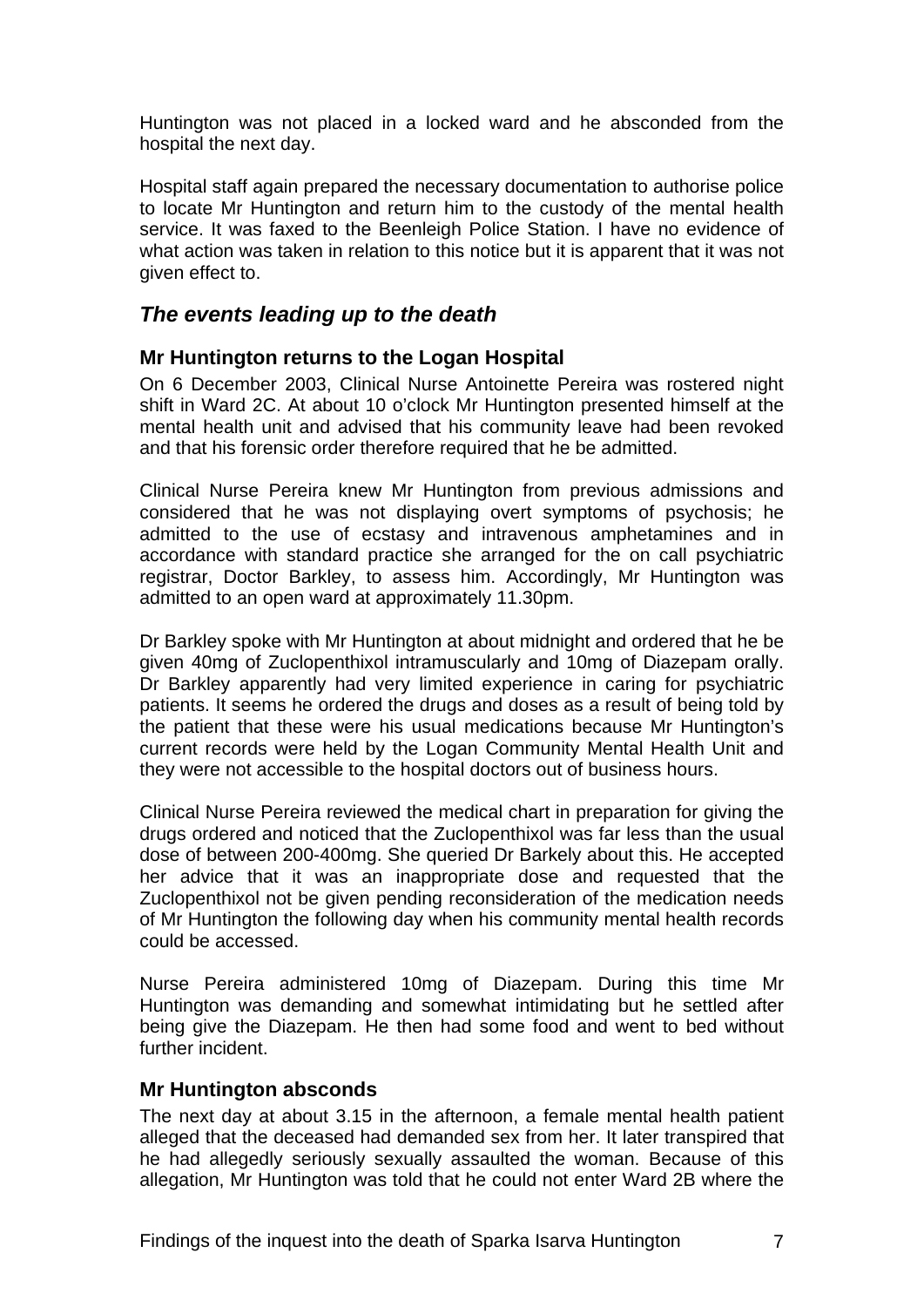<span id="page-8-0"></span>Huntington was not placed in a locked ward and he absconded from the hospital the next day.

Hospital staff again prepared the necessary documentation to authorise police to locate Mr Huntington and return him to the custody of the mental health service. It was faxed to the Beenleigh Police Station. I have no evidence of what action was taken in relation to this notice but it is apparent that it was not given effect to.

### *The events leading up to the death*

#### **Mr Huntington returns to the Logan Hospital**

On 6 December 2003, Clinical Nurse Antoinette Pereira was rostered night shift in Ward 2C. At about 10 o'clock Mr Huntington presented himself at the mental health unit and advised that his community leave had been revoked and that his forensic order therefore required that he be admitted.

Clinical Nurse Pereira knew Mr Huntington from previous admissions and considered that he was not displaying overt symptoms of psychosis; he admitted to the use of ecstasy and intravenous amphetamines and in accordance with standard practice she arranged for the on call psychiatric registrar, Doctor Barkley, to assess him. Accordingly, Mr Huntington was admitted to an open ward at approximately 11.30pm.

Dr Barkley spoke with Mr Huntington at about midnight and ordered that he be given 40mg of Zuclopenthixol intramuscularly and 10mg of Diazepam orally. Dr Barkley apparently had very limited experience in caring for psychiatric patients. It seems he ordered the drugs and doses as a result of being told by the patient that these were his usual medications because Mr Huntington's current records were held by the Logan Community Mental Health Unit and they were not accessible to the hospital doctors out of business hours.

Clinical Nurse Pereira reviewed the medical chart in preparation for giving the drugs ordered and noticed that the Zuclopenthixol was far less than the usual dose of between 200-400mg. She queried Dr Barkely about this. He accepted her advice that it was an inappropriate dose and requested that the Zuclopenthixol not be given pending reconsideration of the medication needs of Mr Huntington the following day when his community mental health records could be accessed.

Nurse Pereira administered 10mg of Diazepam. During this time Mr Huntington was demanding and somewhat intimidating but he settled after being give the Diazepam. He then had some food and went to bed without further incident.

#### **Mr Huntington absconds**

The next day at about 3.15 in the afternoon, a female mental health patient alleged that the deceased had demanded sex from her. It later transpired that he had allegedly seriously sexually assaulted the woman. Because of this allegation, Mr Huntington was told that he could not enter Ward 2B where the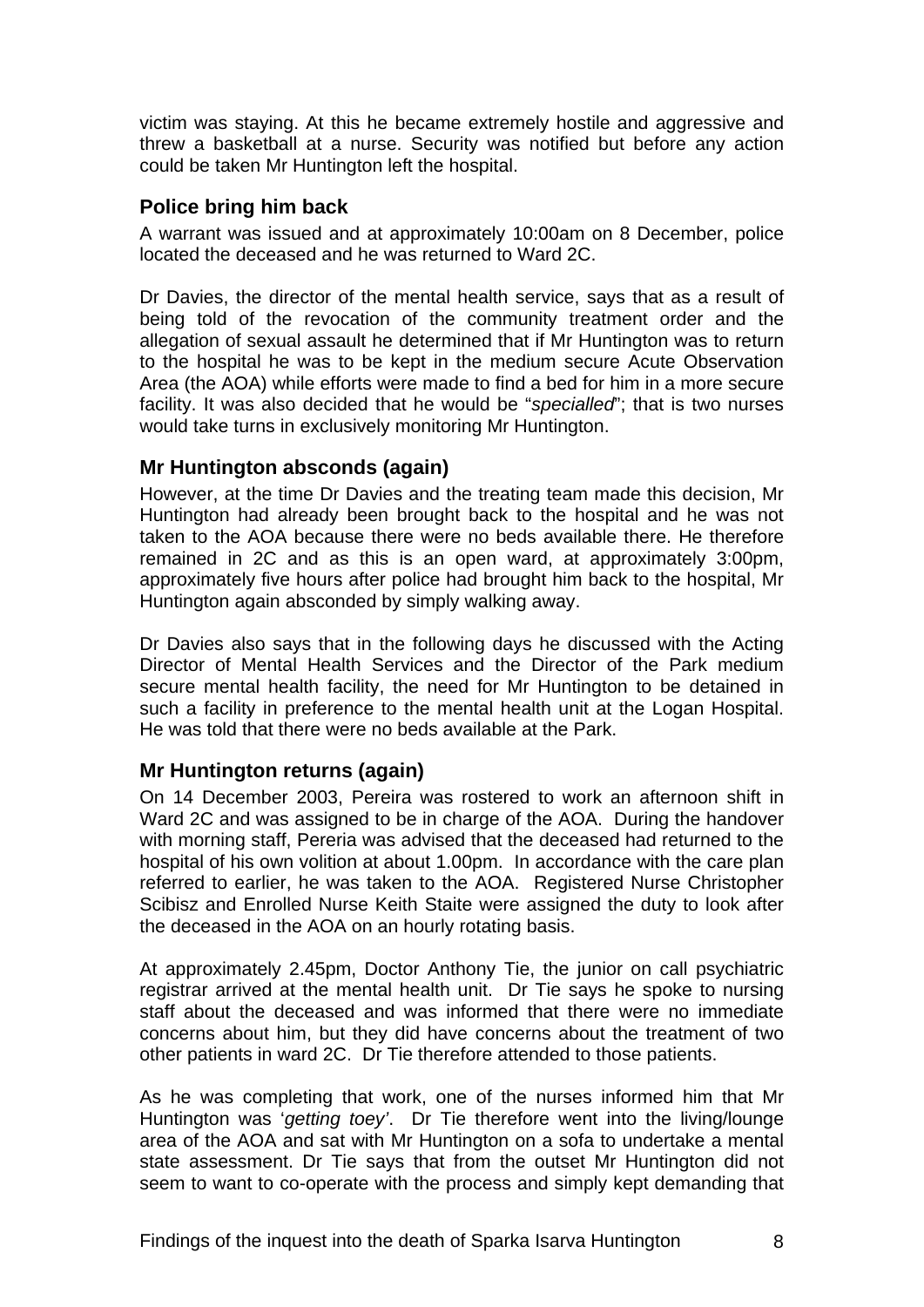<span id="page-9-0"></span>victim was staying. At this he became extremely hostile and aggressive and threw a basketball at a nurse. Security was notified but before any action could be taken Mr Huntington left the hospital.

#### **Police bring him back**

A warrant was issued and at approximately 10:00am on 8 December, police located the deceased and he was returned to Ward 2C.

Dr Davies, the director of the mental health service, says that as a result of being told of the revocation of the community treatment order and the allegation of sexual assault he determined that if Mr Huntington was to return to the hospital he was to be kept in the medium secure Acute Observation Area (the AOA) while efforts were made to find a bed for him in a more secure facility. It was also decided that he would be "*specialled*"; that is two nurses would take turns in exclusively monitoring Mr Huntington.

#### **Mr Huntington absconds (again)**

However, at the time Dr Davies and the treating team made this decision, Mr Huntington had already been brought back to the hospital and he was not taken to the AOA because there were no beds available there. He therefore remained in 2C and as this is an open ward, at approximately 3:00pm, approximately five hours after police had brought him back to the hospital, Mr Huntington again absconded by simply walking away.

Dr Davies also says that in the following days he discussed with the Acting Director of Mental Health Services and the Director of the Park medium secure mental health facility, the need for Mr Huntington to be detained in such a facility in preference to the mental health unit at the Logan Hospital. He was told that there were no beds available at the Park.

### **Mr Huntington returns (again)**

On 14 December 2003, Pereira was rostered to work an afternoon shift in Ward 2C and was assigned to be in charge of the AOA. During the handover with morning staff, Pereria was advised that the deceased had returned to the hospital of his own volition at about 1.00pm. In accordance with the care plan referred to earlier, he was taken to the AOA. Registered Nurse Christopher Scibisz and Enrolled Nurse Keith Staite were assigned the duty to look after the deceased in the AOA on an hourly rotating basis.

At approximately 2.45pm, Doctor Anthony Tie, the junior on call psychiatric registrar arrived at the mental health unit. Dr Tie says he spoke to nursing staff about the deceased and was informed that there were no immediate concerns about him, but they did have concerns about the treatment of two other patients in ward 2C. Dr Tie therefore attended to those patients.

As he was completing that work, one of the nurses informed him that Mr Huntington was '*getting toey'*. Dr Tie therefore went into the living/lounge area of the AOA and sat with Mr Huntington on a sofa to undertake a mental state assessment. Dr Tie says that from the outset Mr Huntington did not seem to want to co-operate with the process and simply kept demanding that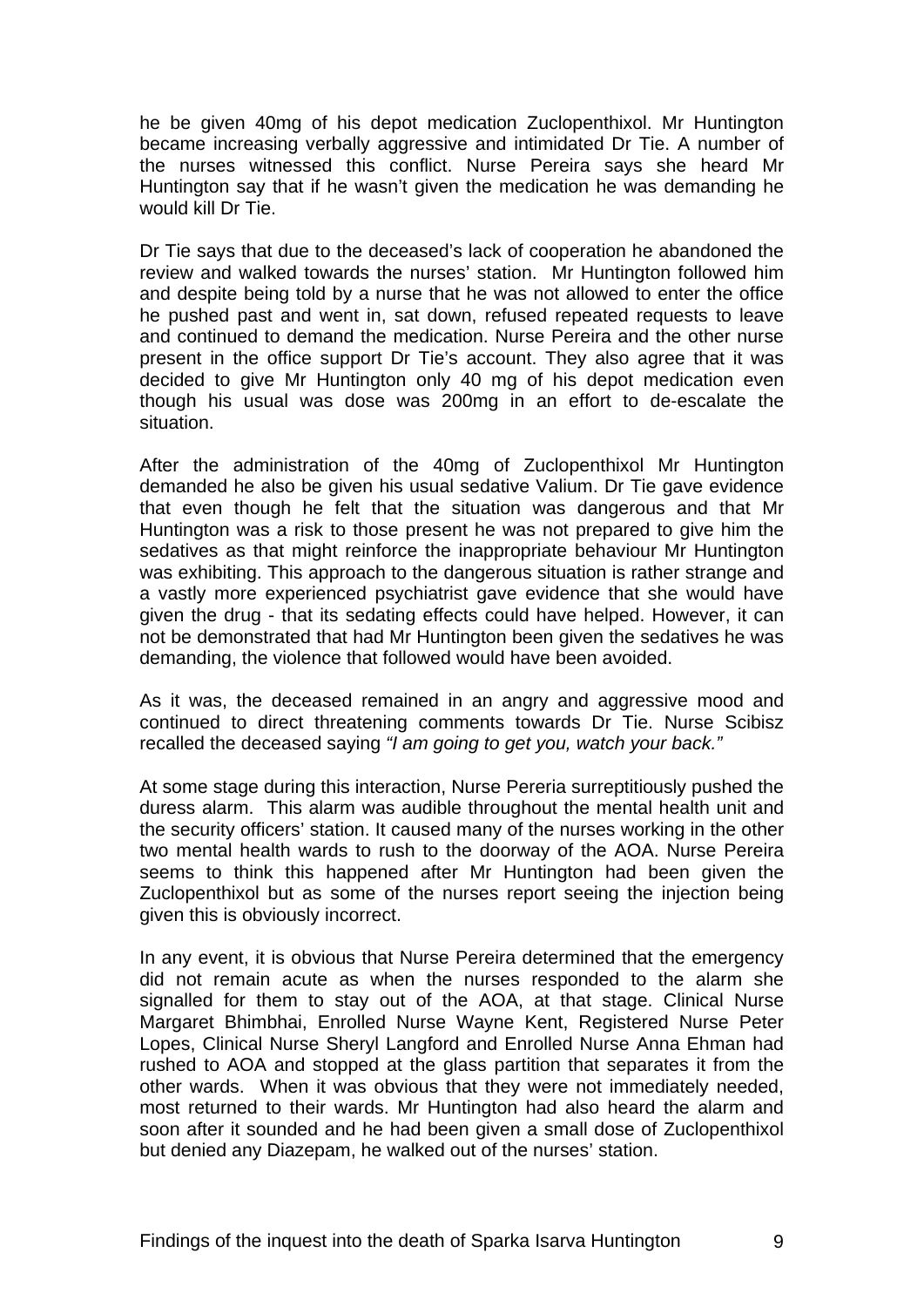he be given 40mg of his depot medication Zuclopenthixol. Mr Huntington became increasing verbally aggressive and intimidated Dr Tie. A number of the nurses witnessed this conflict. Nurse Pereira says she heard Mr Huntington say that if he wasn't given the medication he was demanding he would kill Dr Tie.

Dr Tie says that due to the deceased's lack of cooperation he abandoned the review and walked towards the nurses' station. Mr Huntington followed him and despite being told by a nurse that he was not allowed to enter the office he pushed past and went in, sat down, refused repeated requests to leave and continued to demand the medication. Nurse Pereira and the other nurse present in the office support Dr Tie's account. They also agree that it was decided to give Mr Huntington only 40 mg of his depot medication even though his usual was dose was 200mg in an effort to de-escalate the situation.

After the administration of the 40mg of Zuclopenthixol Mr Huntington demanded he also be given his usual sedative Valium. Dr Tie gave evidence that even though he felt that the situation was dangerous and that Mr Huntington was a risk to those present he was not prepared to give him the sedatives as that might reinforce the inappropriate behaviour Mr Huntington was exhibiting. This approach to the dangerous situation is rather strange and a vastly more experienced psychiatrist gave evidence that she would have given the drug - that its sedating effects could have helped. However, it can not be demonstrated that had Mr Huntington been given the sedatives he was demanding, the violence that followed would have been avoided.

As it was, the deceased remained in an angry and aggressive mood and continued to direct threatening comments towards Dr Tie. Nurse Scibisz recalled the deceased saying *"I am going to get you, watch your back."* 

At some stage during this interaction, Nurse Pereria surreptitiously pushed the duress alarm. This alarm was audible throughout the mental health unit and the security officers' station. It caused many of the nurses working in the other two mental health wards to rush to the doorway of the AOA. Nurse Pereira seems to think this happened after Mr Huntington had been given the Zuclopenthixol but as some of the nurses report seeing the injection being given this is obviously incorrect.

In any event, it is obvious that Nurse Pereira determined that the emergency did not remain acute as when the nurses responded to the alarm she signalled for them to stay out of the AOA, at that stage. Clinical Nurse Margaret Bhimbhai, Enrolled Nurse Wayne Kent, Registered Nurse Peter Lopes, Clinical Nurse Sheryl Langford and Enrolled Nurse Anna Ehman had rushed to AOA and stopped at the glass partition that separates it from the other wards. When it was obvious that they were not immediately needed, most returned to their wards. Mr Huntington had also heard the alarm and soon after it sounded and he had been given a small dose of Zuclopenthixol but denied any Diazepam, he walked out of the nurses' station.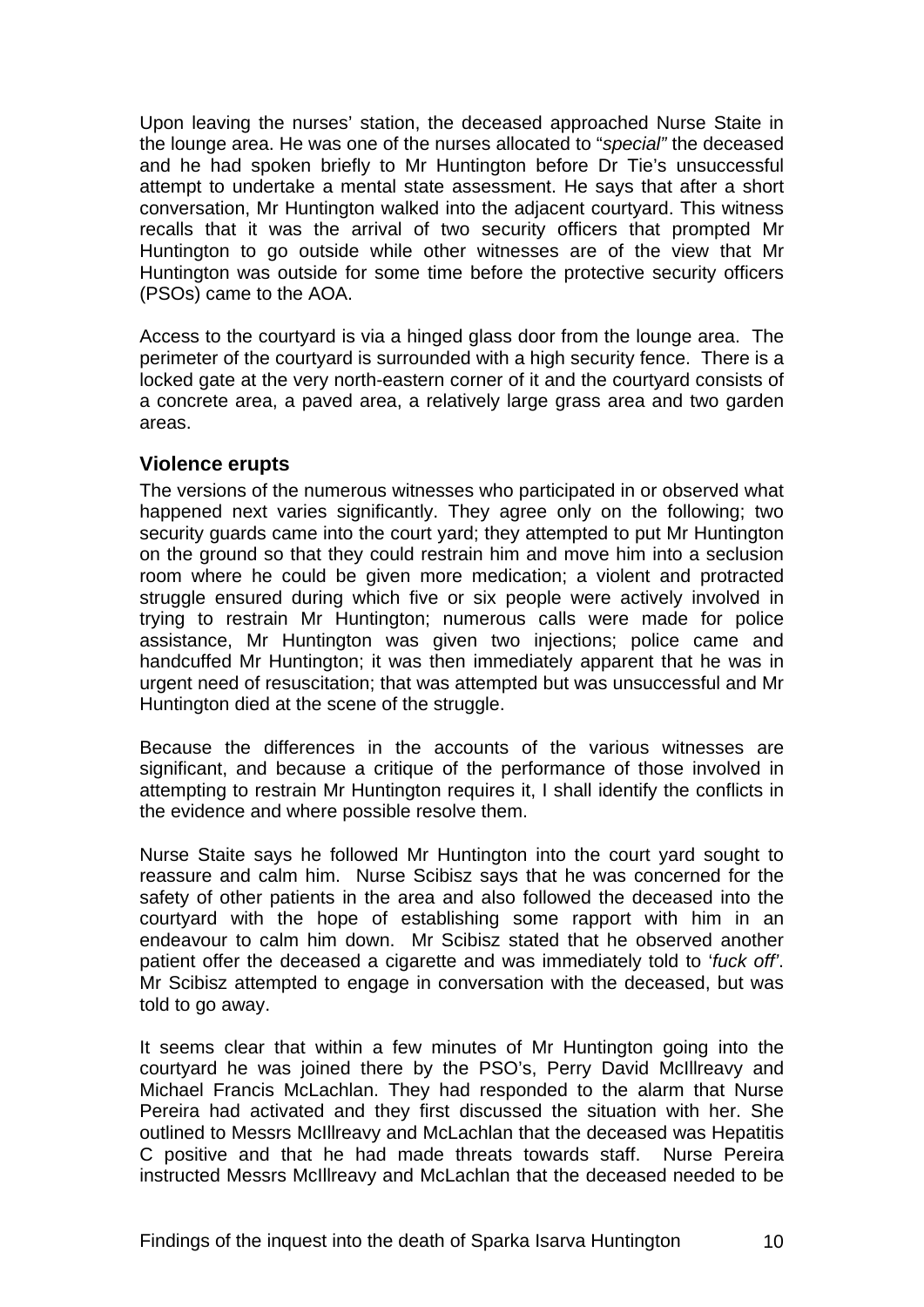<span id="page-11-0"></span>Upon leaving the nurses' station, the deceased approached Nurse Staite in the lounge area. He was one of the nurses allocated to "*special"* the deceased and he had spoken briefly to Mr Huntington before Dr Tie's unsuccessful attempt to undertake a mental state assessment. He says that after a short conversation, Mr Huntington walked into the adjacent courtyard. This witness recalls that it was the arrival of two security officers that prompted Mr Huntington to go outside while other witnesses are of the view that Mr Huntington was outside for some time before the protective security officers (PSOs) came to the AOA.

Access to the courtyard is via a hinged glass door from the lounge area. The perimeter of the courtyard is surrounded with a high security fence. There is a locked gate at the very north-eastern corner of it and the courtyard consists of a concrete area, a paved area, a relatively large grass area and two garden areas.

#### **Violence erupts**

The versions of the numerous witnesses who participated in or observed what happened next varies significantly. They agree only on the following; two security guards came into the court yard; they attempted to put Mr Huntington on the ground so that they could restrain him and move him into a seclusion room where he could be given more medication; a violent and protracted struggle ensured during which five or six people were actively involved in trying to restrain Mr Huntington; numerous calls were made for police assistance, Mr Huntington was given two injections; police came and handcuffed Mr Huntington; it was then immediately apparent that he was in urgent need of resuscitation; that was attempted but was unsuccessful and Mr Huntington died at the scene of the struggle.

Because the differences in the accounts of the various witnesses are significant, and because a critique of the performance of those involved in attempting to restrain Mr Huntington requires it, I shall identify the conflicts in the evidence and where possible resolve them.

Nurse Staite says he followed Mr Huntington into the court yard sought to reassure and calm him. Nurse Scibisz says that he was concerned for the safety of other patients in the area and also followed the deceased into the courtyard with the hope of establishing some rapport with him in an endeavour to calm him down. Mr Scibisz stated that he observed another patient offer the deceased a cigarette and was immediately told to '*fuck off'*. Mr Scibisz attempted to engage in conversation with the deceased, but was told to go away.

It seems clear that within a few minutes of Mr Huntington going into the courtyard he was joined there by the PSO's, Perry David McIllreavy and Michael Francis McLachlan. They had responded to the alarm that Nurse Pereira had activated and they first discussed the situation with her. She outlined to Messrs McIllreavy and McLachlan that the deceased was Hepatitis C positive and that he had made threats towards staff. Nurse Pereira instructed Messrs McIllreavy and McLachlan that the deceased needed to be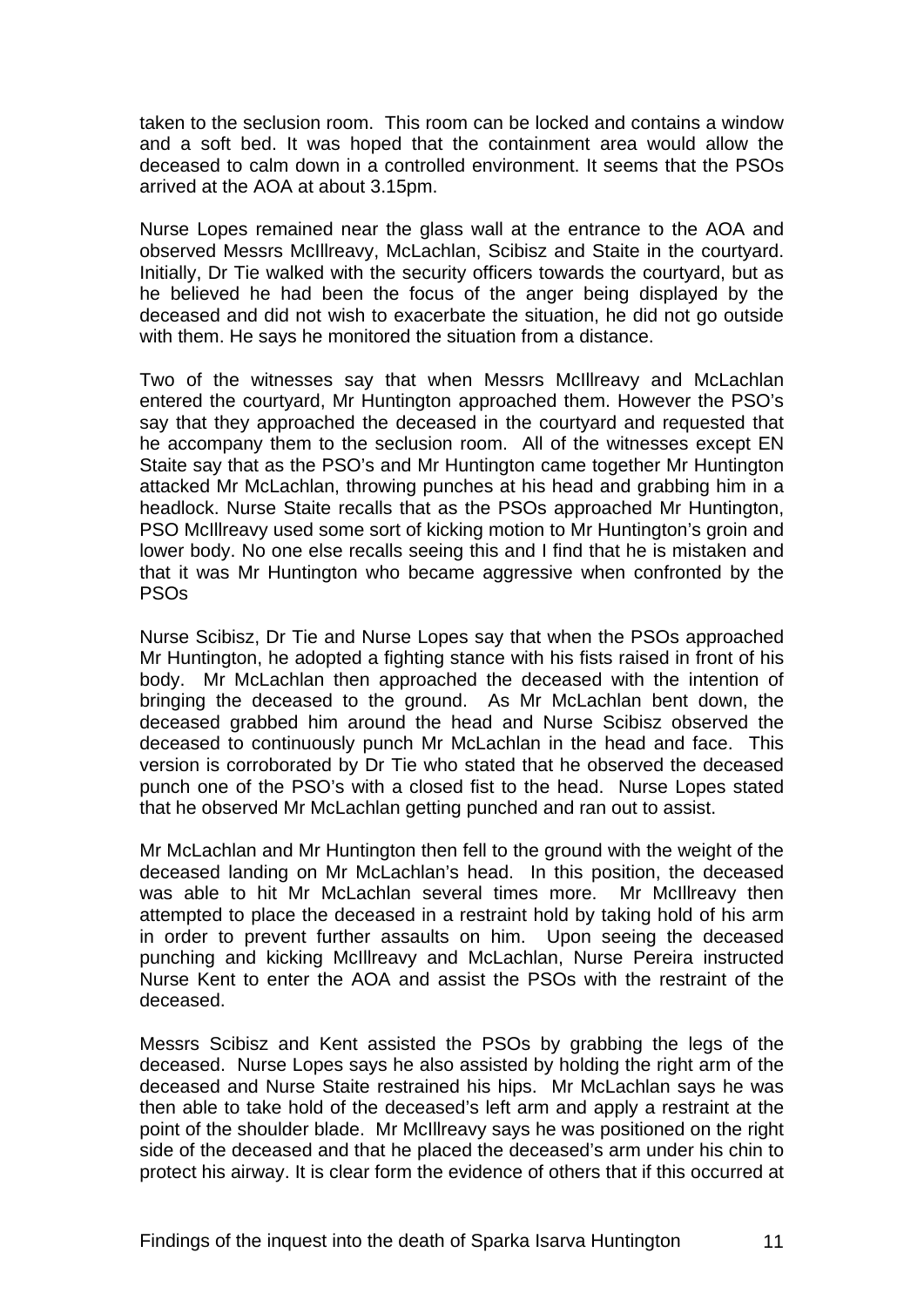taken to the seclusion room. This room can be locked and contains a window and a soft bed. It was hoped that the containment area would allow the deceased to calm down in a controlled environment. It seems that the PSOs arrived at the AOA at about 3.15pm.

Nurse Lopes remained near the glass wall at the entrance to the AOA and observed Messrs McIllreavy, McLachlan, Scibisz and Staite in the courtyard. Initially, Dr Tie walked with the security officers towards the courtyard, but as he believed he had been the focus of the anger being displayed by the deceased and did not wish to exacerbate the situation, he did not go outside with them. He says he monitored the situation from a distance.

Two of the witnesses say that when Messrs McIllreavy and McLachlan entered the courtyard, Mr Huntington approached them. However the PSO's say that they approached the deceased in the courtyard and requested that he accompany them to the seclusion room. All of the witnesses except EN Staite say that as the PSO's and Mr Huntington came together Mr Huntington attacked Mr McLachlan, throwing punches at his head and grabbing him in a headlock. Nurse Staite recalls that as the PSOs approached Mr Huntington, PSO McIllreavy used some sort of kicking motion to Mr Huntington's groin and lower body. No one else recalls seeing this and I find that he is mistaken and that it was Mr Huntington who became aggressive when confronted by the PSOs

Nurse Scibisz, Dr Tie and Nurse Lopes say that when the PSOs approached Mr Huntington, he adopted a fighting stance with his fists raised in front of his body. Mr McLachlan then approached the deceased with the intention of bringing the deceased to the ground. As Mr McLachlan bent down, the deceased grabbed him around the head and Nurse Scibisz observed the deceased to continuously punch Mr McLachlan in the head and face. This version is corroborated by Dr Tie who stated that he observed the deceased punch one of the PSO's with a closed fist to the head. Nurse Lopes stated that he observed Mr McLachlan getting punched and ran out to assist.

Mr McLachlan and Mr Huntington then fell to the ground with the weight of the deceased landing on Mr McLachlan's head. In this position, the deceased was able to hit Mr McLachlan several times more. Mr McIllreavy then attempted to place the deceased in a restraint hold by taking hold of his arm in order to prevent further assaults on him. Upon seeing the deceased punching and kicking McIllreavy and McLachlan, Nurse Pereira instructed Nurse Kent to enter the AOA and assist the PSOs with the restraint of the deceased.

Messrs Scibisz and Kent assisted the PSOs by grabbing the legs of the deceased. Nurse Lopes says he also assisted by holding the right arm of the deceased and Nurse Staite restrained his hips. Mr McLachlan says he was then able to take hold of the deceased's left arm and apply a restraint at the point of the shoulder blade. Mr McIllreavy says he was positioned on the right side of the deceased and that he placed the deceased's arm under his chin to protect his airway. It is clear form the evidence of others that if this occurred at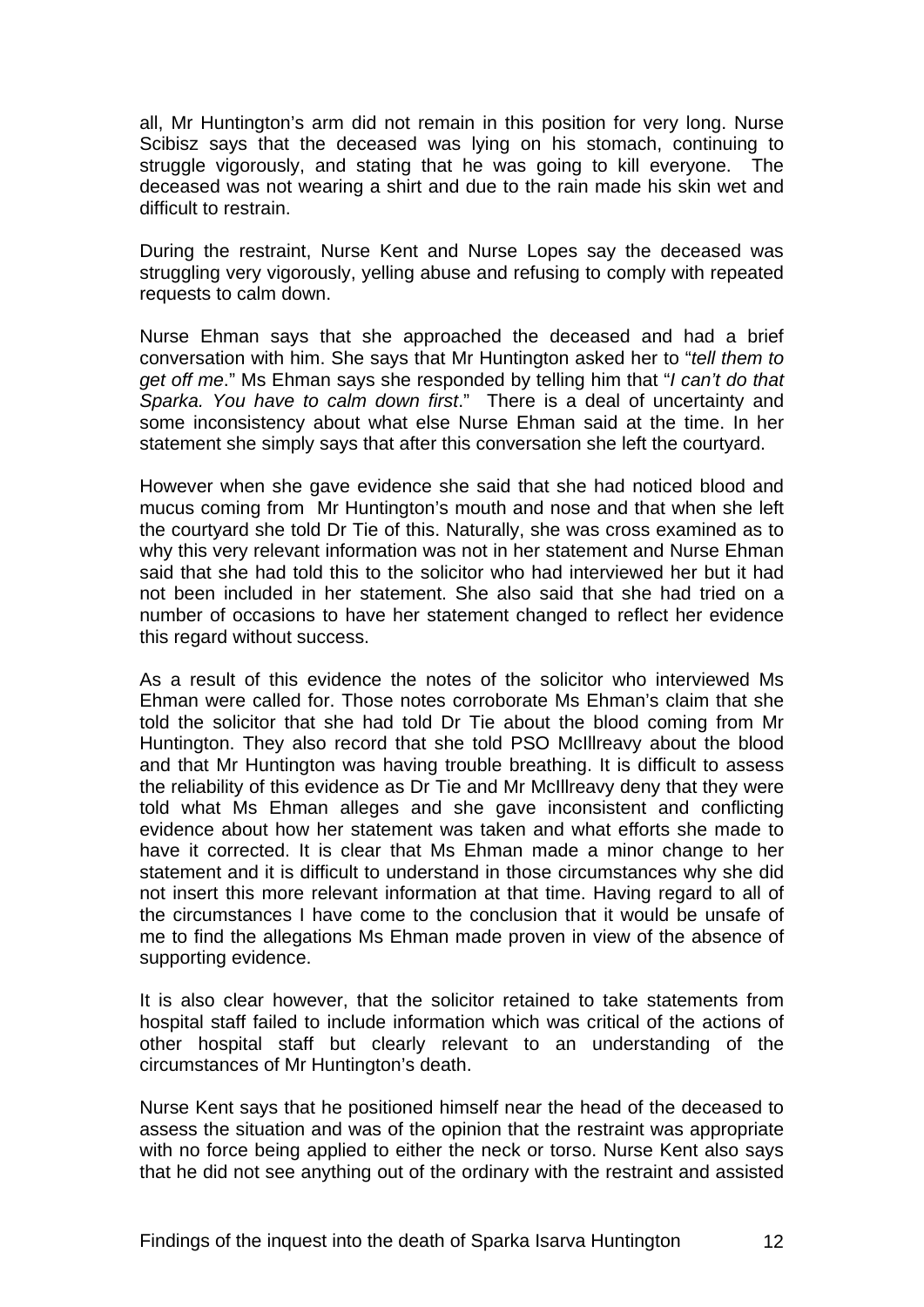all, Mr Huntington's arm did not remain in this position for very long. Nurse Scibisz says that the deceased was lying on his stomach, continuing to struggle vigorously, and stating that he was going to kill everyone. The deceased was not wearing a shirt and due to the rain made his skin wet and difficult to restrain.

During the restraint, Nurse Kent and Nurse Lopes say the deceased was struggling very vigorously, yelling abuse and refusing to comply with repeated requests to calm down.

Nurse Ehman says that she approached the deceased and had a brief conversation with him. She says that Mr Huntington asked her to "*tell them to get off me*." Ms Ehman says she responded by telling him that "*I can't do that Sparka. You have to calm down first*." There is a deal of uncertainty and some inconsistency about what else Nurse Ehman said at the time. In her statement she simply says that after this conversation she left the courtyard.

However when she gave evidence she said that she had noticed blood and mucus coming from Mr Huntington's mouth and nose and that when she left the courtyard she told Dr Tie of this. Naturally, she was cross examined as to why this very relevant information was not in her statement and Nurse Ehman said that she had told this to the solicitor who had interviewed her but it had not been included in her statement. She also said that she had tried on a number of occasions to have her statement changed to reflect her evidence this regard without success.

As a result of this evidence the notes of the solicitor who interviewed Ms Ehman were called for. Those notes corroborate Ms Ehman's claim that she told the solicitor that she had told Dr Tie about the blood coming from Mr Huntington. They also record that she told PSO McIllreavy about the blood and that Mr Huntington was having trouble breathing. It is difficult to assess the reliability of this evidence as Dr Tie and Mr McIllreavy deny that they were told what Ms Ehman alleges and she gave inconsistent and conflicting evidence about how her statement was taken and what efforts she made to have it corrected. It is clear that Ms Ehman made a minor change to her statement and it is difficult to understand in those circumstances why she did not insert this more relevant information at that time. Having regard to all of the circumstances I have come to the conclusion that it would be unsafe of me to find the allegations Ms Ehman made proven in view of the absence of supporting evidence.

It is also clear however, that the solicitor retained to take statements from hospital staff failed to include information which was critical of the actions of other hospital staff but clearly relevant to an understanding of the circumstances of Mr Huntington's death.

Nurse Kent says that he positioned himself near the head of the deceased to assess the situation and was of the opinion that the restraint was appropriate with no force being applied to either the neck or torso. Nurse Kent also says that he did not see anything out of the ordinary with the restraint and assisted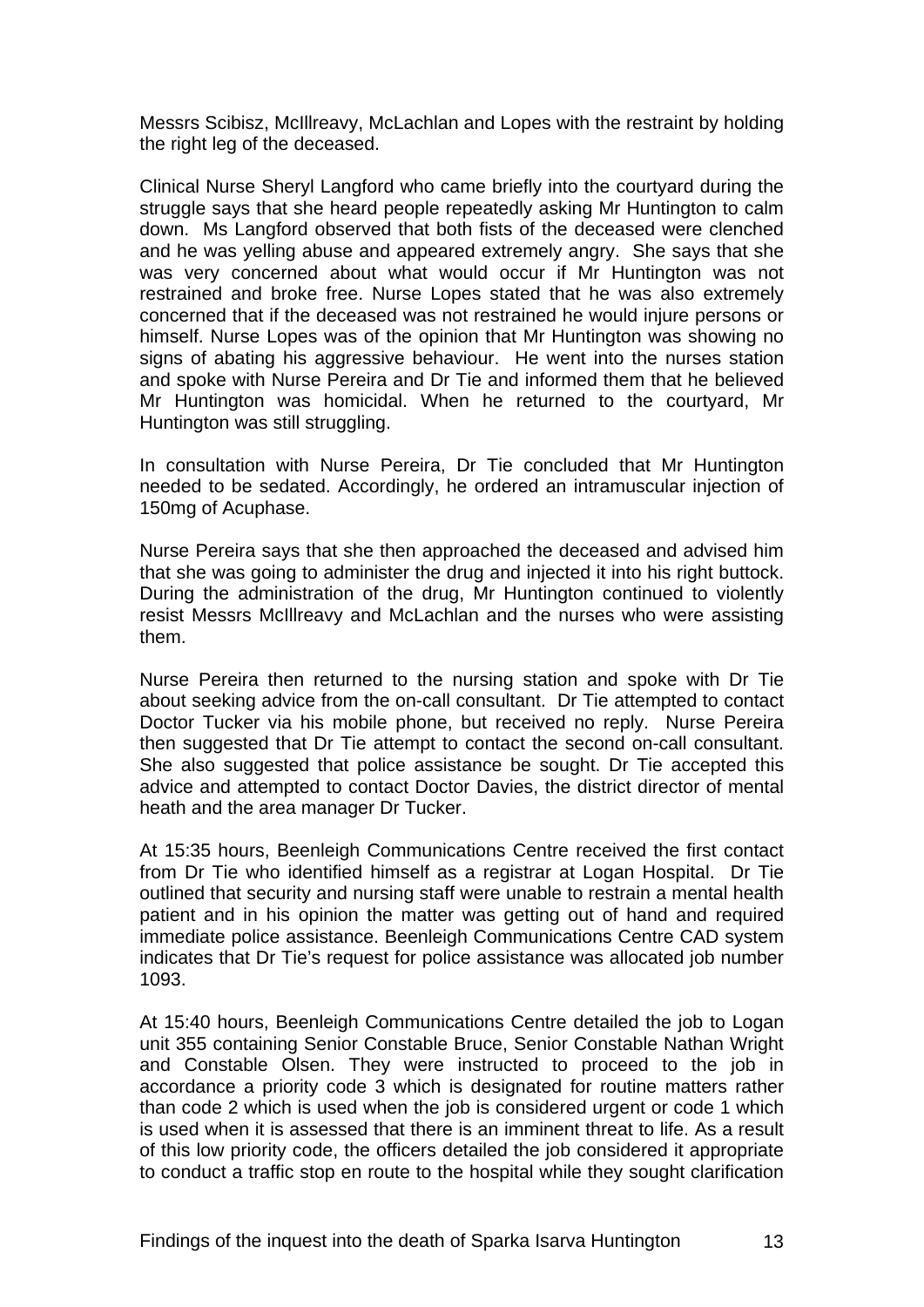Messrs Scibisz, McIllreavy, McLachlan and Lopes with the restraint by holding the right leg of the deceased.

Clinical Nurse Sheryl Langford who came briefly into the courtyard during the struggle says that she heard people repeatedly asking Mr Huntington to calm down. Ms Langford observed that both fists of the deceased were clenched and he was yelling abuse and appeared extremely angry. She says that she was very concerned about what would occur if Mr Huntington was not restrained and broke free. Nurse Lopes stated that he was also extremely concerned that if the deceased was not restrained he would injure persons or himself. Nurse Lopes was of the opinion that Mr Huntington was showing no signs of abating his aggressive behaviour. He went into the nurses station and spoke with Nurse Pereira and Dr Tie and informed them that he believed Mr Huntington was homicidal. When he returned to the courtyard, Mr Huntington was still struggling.

In consultation with Nurse Pereira, Dr Tie concluded that Mr Huntington needed to be sedated. Accordingly, he ordered an intramuscular injection of 150mg of Acuphase.

Nurse Pereira says that she then approached the deceased and advised him that she was going to administer the drug and injected it into his right buttock. During the administration of the drug, Mr Huntington continued to violently resist Messrs McIllreavy and McLachlan and the nurses who were assisting them.

Nurse Pereira then returned to the nursing station and spoke with Dr Tie about seeking advice from the on-call consultant. Dr Tie attempted to contact Doctor Tucker via his mobile phone, but received no reply. Nurse Pereira then suggested that Dr Tie attempt to contact the second on-call consultant. She also suggested that police assistance be sought. Dr Tie accepted this advice and attempted to contact Doctor Davies, the district director of mental heath and the area manager Dr Tucker.

At 15:35 hours, Beenleigh Communications Centre received the first contact from Dr Tie who identified himself as a registrar at Logan Hospital. Dr Tie outlined that security and nursing staff were unable to restrain a mental health patient and in his opinion the matter was getting out of hand and required immediate police assistance. Beenleigh Communications Centre CAD system indicates that Dr Tie's request for police assistance was allocated job number 1093.

At 15:40 hours, Beenleigh Communications Centre detailed the job to Logan unit 355 containing Senior Constable Bruce, Senior Constable Nathan Wright and Constable Olsen. They were instructed to proceed to the job in accordance a priority code 3 which is designated for routine matters rather than code 2 which is used when the job is considered urgent or code 1 which is used when it is assessed that there is an imminent threat to life. As a result of this low priority code, the officers detailed the job considered it appropriate to conduct a traffic stop en route to the hospital while they sought clarification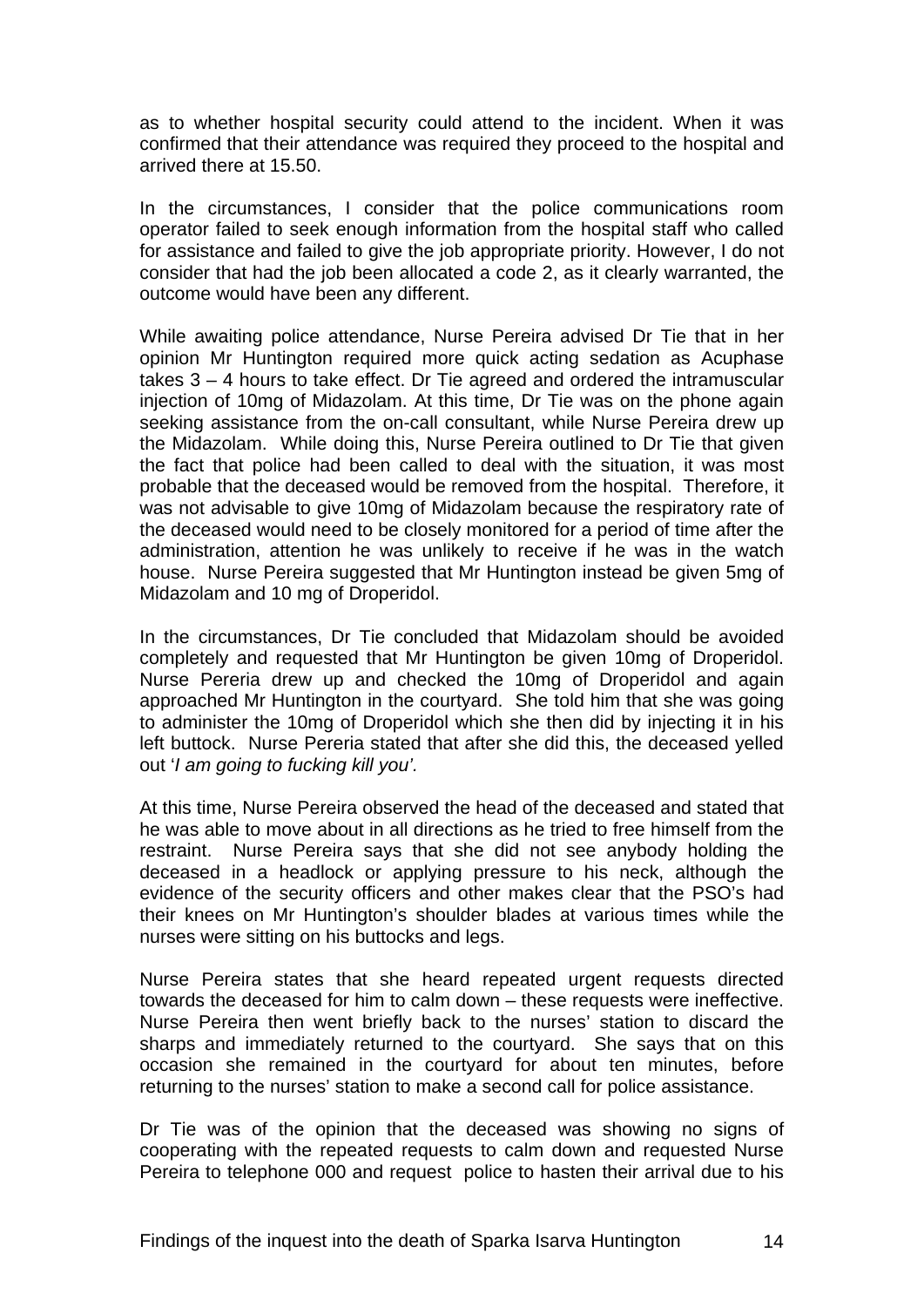as to whether hospital security could attend to the incident. When it was confirmed that their attendance was required they proceed to the hospital and arrived there at 15.50.

In the circumstances, I consider that the police communications room operator failed to seek enough information from the hospital staff who called for assistance and failed to give the job appropriate priority. However, I do not consider that had the job been allocated a code 2, as it clearly warranted, the outcome would have been any different.

While awaiting police attendance, Nurse Pereira advised Dr Tie that in her opinion Mr Huntington required more quick acting sedation as Acuphase takes 3 – 4 hours to take effect. Dr Tie agreed and ordered the intramuscular injection of 10mg of Midazolam. At this time, Dr Tie was on the phone again seeking assistance from the on-call consultant, while Nurse Pereira drew up the Midazolam. While doing this, Nurse Pereira outlined to Dr Tie that given the fact that police had been called to deal with the situation, it was most probable that the deceased would be removed from the hospital. Therefore, it was not advisable to give 10mg of Midazolam because the respiratory rate of the deceased would need to be closely monitored for a period of time after the administration, attention he was unlikely to receive if he was in the watch house. Nurse Pereira suggested that Mr Huntington instead be given 5mg of Midazolam and 10 mg of Droperidol.

In the circumstances, Dr Tie concluded that Midazolam should be avoided completely and requested that Mr Huntington be given 10mg of Droperidol. Nurse Pereria drew up and checked the 10mg of Droperidol and again approached Mr Huntington in the courtyard. She told him that she was going to administer the 10mg of Droperidol which she then did by injecting it in his left buttock. Nurse Pereria stated that after she did this, the deceased yelled out '*I am going to fucking kill you'.* 

At this time, Nurse Pereira observed the head of the deceased and stated that he was able to move about in all directions as he tried to free himself from the restraint. Nurse Pereira says that she did not see anybody holding the deceased in a headlock or applying pressure to his neck, although the evidence of the security officers and other makes clear that the PSO's had their knees on Mr Huntington's shoulder blades at various times while the nurses were sitting on his buttocks and legs.

Nurse Pereira states that she heard repeated urgent requests directed towards the deceased for him to calm down – these requests were ineffective. Nurse Pereira then went briefly back to the nurses' station to discard the sharps and immediately returned to the courtyard. She says that on this occasion she remained in the courtyard for about ten minutes, before returning to the nurses' station to make a second call for police assistance.

Dr Tie was of the opinion that the deceased was showing no signs of cooperating with the repeated requests to calm down and requested Nurse Pereira to telephone 000 and request police to hasten their arrival due to his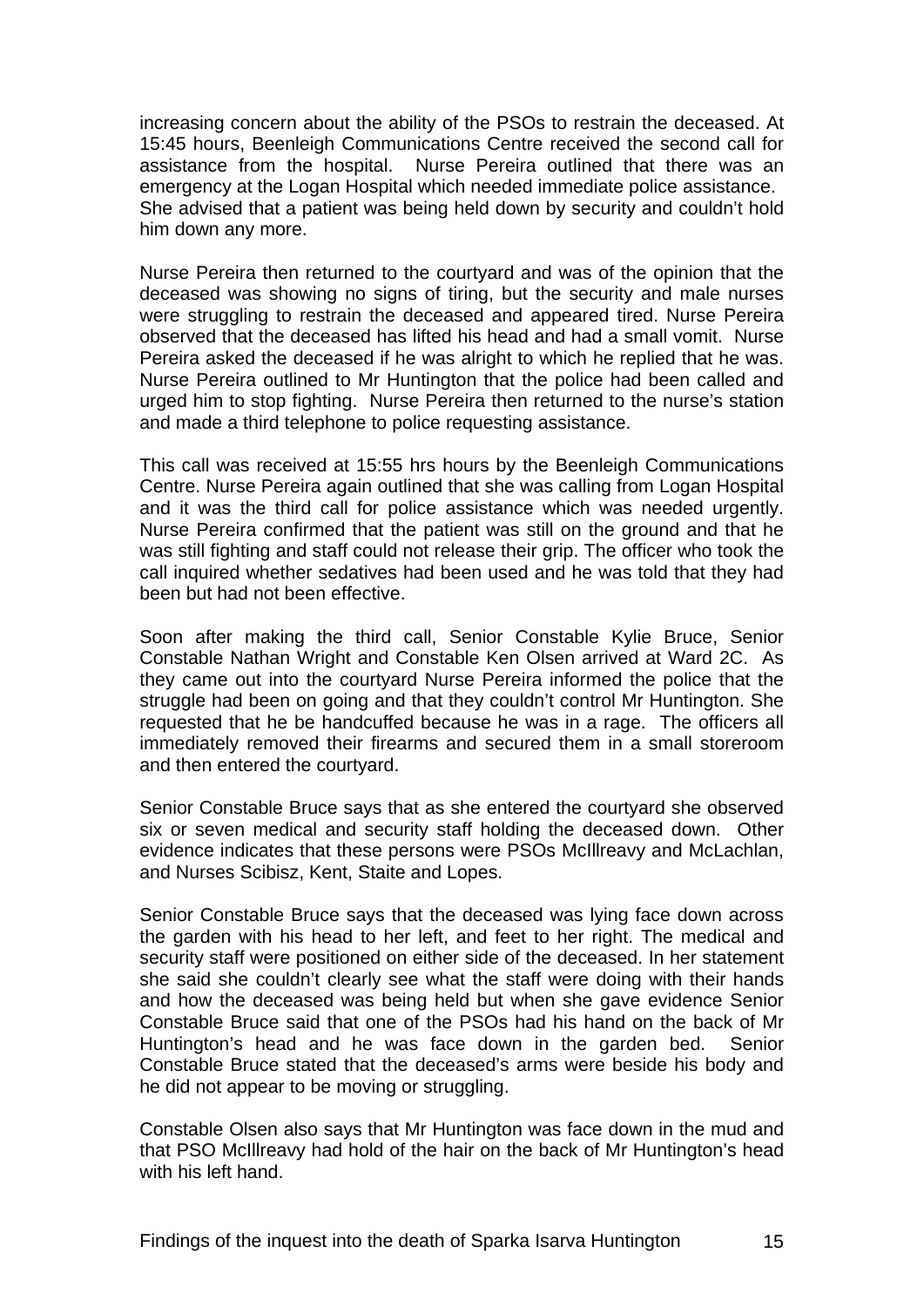increasing concern about the ability of the PSOs to restrain the deceased. At 15:45 hours, Beenleigh Communications Centre received the second call for assistance from the hospital. Nurse Pereira outlined that there was an emergency at the Logan Hospital which needed immediate police assistance. She advised that a patient was being held down by security and couldn't hold him down any more.

Nurse Pereira then returned to the courtyard and was of the opinion that the deceased was showing no signs of tiring, but the security and male nurses were struggling to restrain the deceased and appeared tired. Nurse Pereira observed that the deceased has lifted his head and had a small vomit. Nurse Pereira asked the deceased if he was alright to which he replied that he was. Nurse Pereira outlined to Mr Huntington that the police had been called and urged him to stop fighting. Nurse Pereira then returned to the nurse's station and made a third telephone to police requesting assistance.

This call was received at 15:55 hrs hours by the Beenleigh Communications Centre. Nurse Pereira again outlined that she was calling from Logan Hospital and it was the third call for police assistance which was needed urgently. Nurse Pereira confirmed that the patient was still on the ground and that he was still fighting and staff could not release their grip. The officer who took the call inquired whether sedatives had been used and he was told that they had been but had not been effective.

Soon after making the third call, Senior Constable Kylie Bruce, Senior Constable Nathan Wright and Constable Ken Olsen arrived at Ward 2C. As they came out into the courtyard Nurse Pereira informed the police that the struggle had been on going and that they couldn't control Mr Huntington. She requested that he be handcuffed because he was in a rage. The officers all immediately removed their firearms and secured them in a small storeroom and then entered the courtyard.

Senior Constable Bruce says that as she entered the courtyard she observed six or seven medical and security staff holding the deceased down. Other evidence indicates that these persons were PSOs McIllreavy and McLachlan, and Nurses Scibisz, Kent, Staite and Lopes.

Senior Constable Bruce says that the deceased was lying face down across the garden with his head to her left, and feet to her right. The medical and security staff were positioned on either side of the deceased. In her statement she said she couldn't clearly see what the staff were doing with their hands and how the deceased was being held but when she gave evidence Senior Constable Bruce said that one of the PSOs had his hand on the back of Mr Huntington's head and he was face down in the garden bed. Senior Constable Bruce stated that the deceased's arms were beside his body and he did not appear to be moving or struggling.

Constable Olsen also says that Mr Huntington was face down in the mud and that PSO McIllreavy had hold of the hair on the back of Mr Huntington's head with his left hand.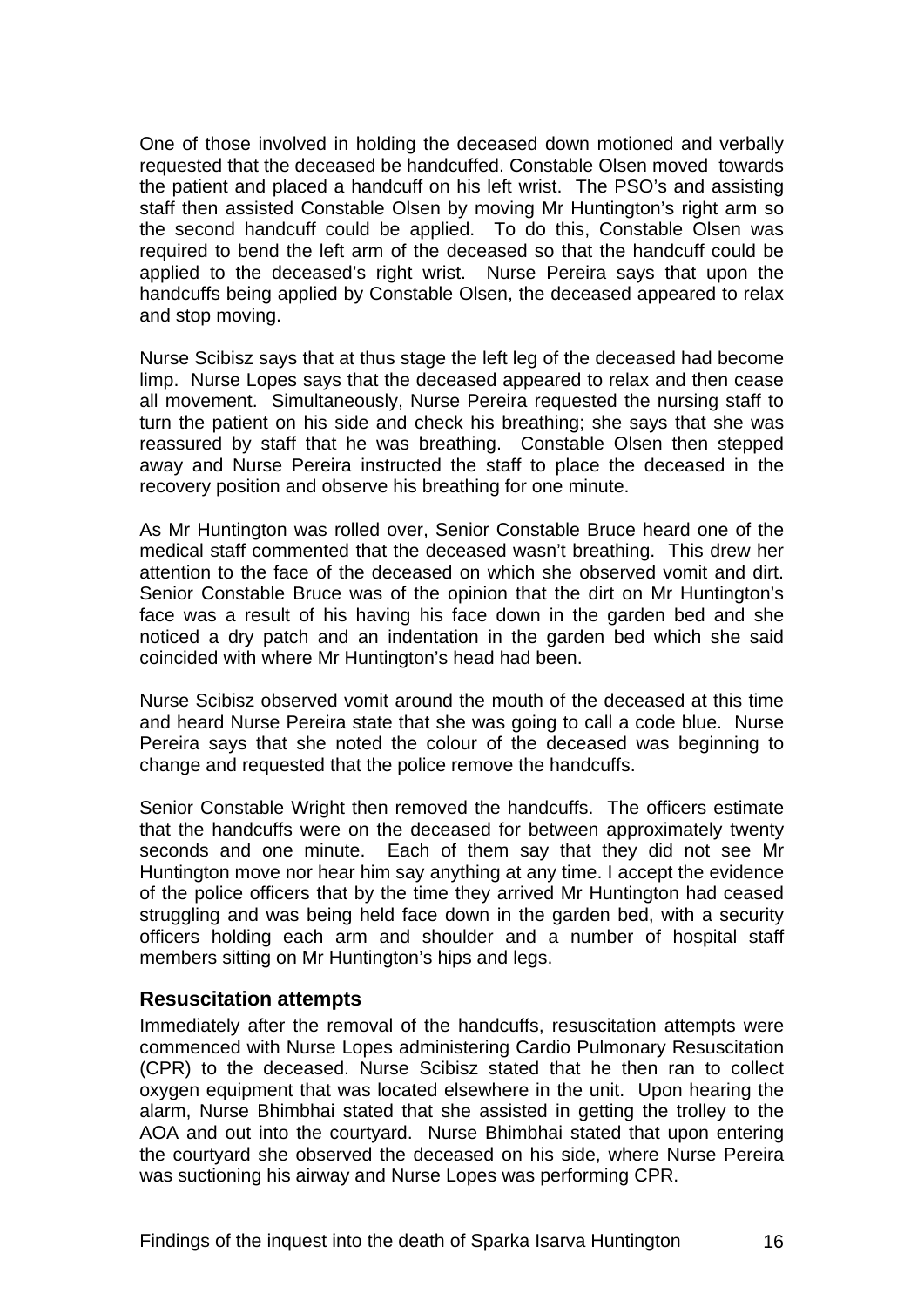<span id="page-17-0"></span>One of those involved in holding the deceased down motioned and verbally requested that the deceased be handcuffed. Constable Olsen moved towards the patient and placed a handcuff on his left wrist. The PSO's and assisting staff then assisted Constable Olsen by moving Mr Huntington's right arm so the second handcuff could be applied. To do this, Constable Olsen was required to bend the left arm of the deceased so that the handcuff could be applied to the deceased's right wrist. Nurse Pereira says that upon the handcuffs being applied by Constable Olsen, the deceased appeared to relax and stop moving.

Nurse Scibisz says that at thus stage the left leg of the deceased had become limp. Nurse Lopes says that the deceased appeared to relax and then cease all movement. Simultaneously, Nurse Pereira requested the nursing staff to turn the patient on his side and check his breathing; she says that she was reassured by staff that he was breathing. Constable Olsen then stepped away and Nurse Pereira instructed the staff to place the deceased in the recovery position and observe his breathing for one minute.

As Mr Huntington was rolled over, Senior Constable Bruce heard one of the medical staff commented that the deceased wasn't breathing. This drew her attention to the face of the deceased on which she observed vomit and dirt. Senior Constable Bruce was of the opinion that the dirt on Mr Huntington's face was a result of his having his face down in the garden bed and she noticed a dry patch and an indentation in the garden bed which she said coincided with where Mr Huntington's head had been.

Nurse Scibisz observed vomit around the mouth of the deceased at this time and heard Nurse Pereira state that she was going to call a code blue. Nurse Pereira says that she noted the colour of the deceased was beginning to change and requested that the police remove the handcuffs.

Senior Constable Wright then removed the handcuffs. The officers estimate that the handcuffs were on the deceased for between approximately twenty seconds and one minute. Each of them say that they did not see Mr Huntington move nor hear him say anything at any time. I accept the evidence of the police officers that by the time they arrived Mr Huntington had ceased struggling and was being held face down in the garden bed, with a security officers holding each arm and shoulder and a number of hospital staff members sitting on Mr Huntington's hips and legs.

#### **Resuscitation attempts**

Immediately after the removal of the handcuffs, resuscitation attempts were commenced with Nurse Lopes administering Cardio Pulmonary Resuscitation (CPR) to the deceased. Nurse Scibisz stated that he then ran to collect oxygen equipment that was located elsewhere in the unit. Upon hearing the alarm, Nurse Bhimbhai stated that she assisted in getting the trolley to the AOA and out into the courtyard. Nurse Bhimbhai stated that upon entering the courtyard she observed the deceased on his side, where Nurse Pereira was suctioning his airway and Nurse Lopes was performing CPR.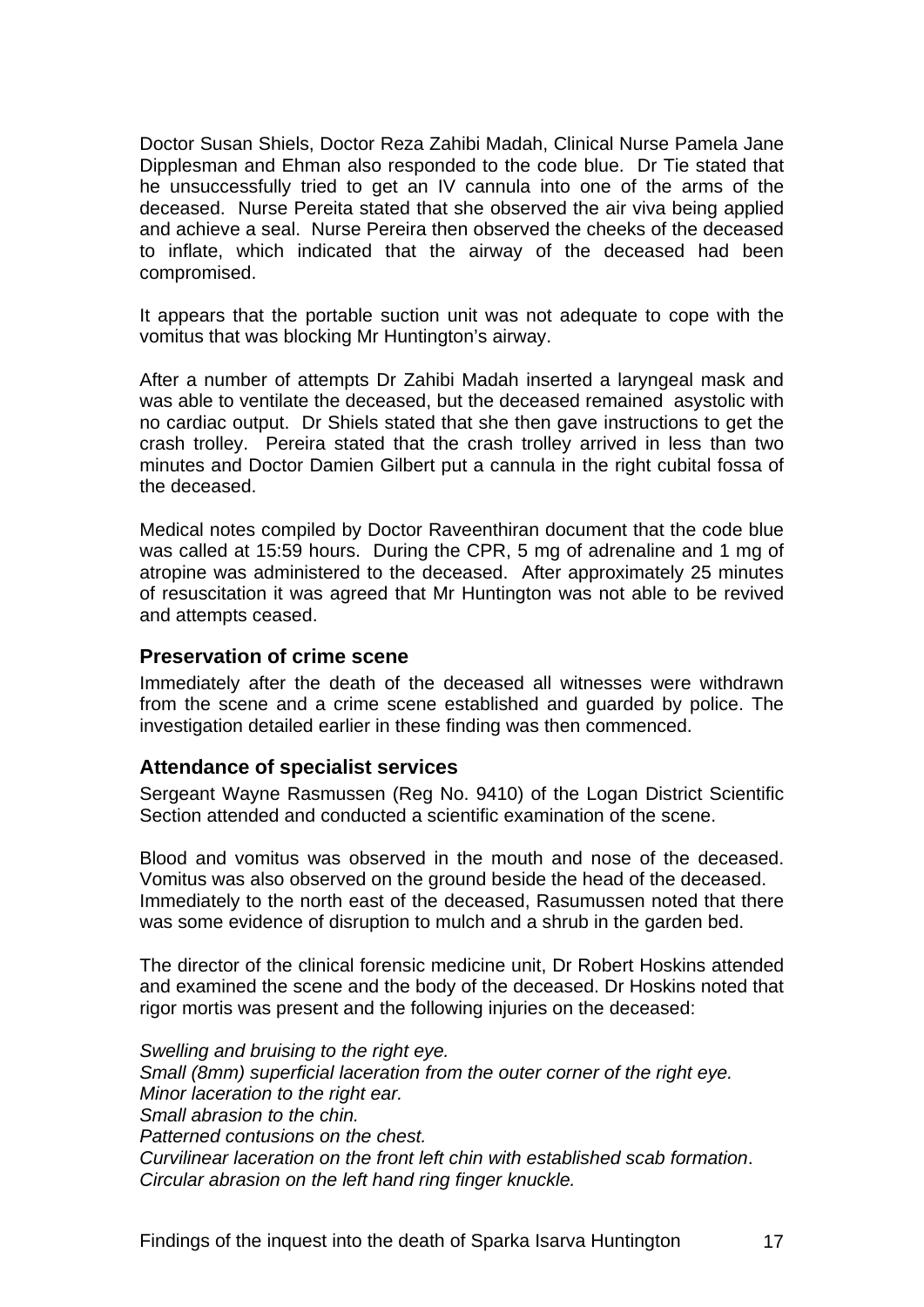<span id="page-18-0"></span>Doctor Susan Shiels, Doctor Reza Zahibi Madah, Clinical Nurse Pamela Jane Dipplesman and Ehman also responded to the code blue. Dr Tie stated that he unsuccessfully tried to get an IV cannula into one of the arms of the deceased. Nurse Pereita stated that she observed the air viva being applied and achieve a seal. Nurse Pereira then observed the cheeks of the deceased to inflate, which indicated that the airway of the deceased had been compromised.

It appears that the portable suction unit was not adequate to cope with the vomitus that was blocking Mr Huntington's airway.

After a number of attempts Dr Zahibi Madah inserted a laryngeal mask and was able to ventilate the deceased, but the deceased remained asystolic with no cardiac output. Dr Shiels stated that she then gave instructions to get the crash trolley. Pereira stated that the crash trolley arrived in less than two minutes and Doctor Damien Gilbert put a cannula in the right cubital fossa of the deceased.

Medical notes compiled by Doctor Raveenthiran document that the code blue was called at 15:59 hours. During the CPR, 5 mg of adrenaline and 1 mg of atropine was administered to the deceased. After approximately 25 minutes of resuscitation it was agreed that Mr Huntington was not able to be revived and attempts ceased.

#### **Preservation of crime scene**

Immediately after the death of the deceased all witnesses were withdrawn from the scene and a crime scene established and guarded by police. The investigation detailed earlier in these finding was then commenced.

#### **Attendance of specialist services**

Sergeant Wayne Rasmussen (Reg No. 9410) of the Logan District Scientific Section attended and conducted a scientific examination of the scene.

Blood and vomitus was observed in the mouth and nose of the deceased. Vomitus was also observed on the ground beside the head of the deceased. Immediately to the north east of the deceased, Rasumussen noted that there was some evidence of disruption to mulch and a shrub in the garden bed.

The director of the clinical forensic medicine unit, Dr Robert Hoskins attended and examined the scene and the body of the deceased. Dr Hoskins noted that rigor mortis was present and the following injuries on the deceased:

*Swelling and bruising to the right eye. Small (8mm) superficial laceration from the outer corner of the right eye. Minor laceration to the right ear. Small abrasion to the chin. Patterned contusions on the chest. Curvilinear laceration on the front left chin with established scab formation*. *Circular abrasion on the left hand ring finger knuckle.*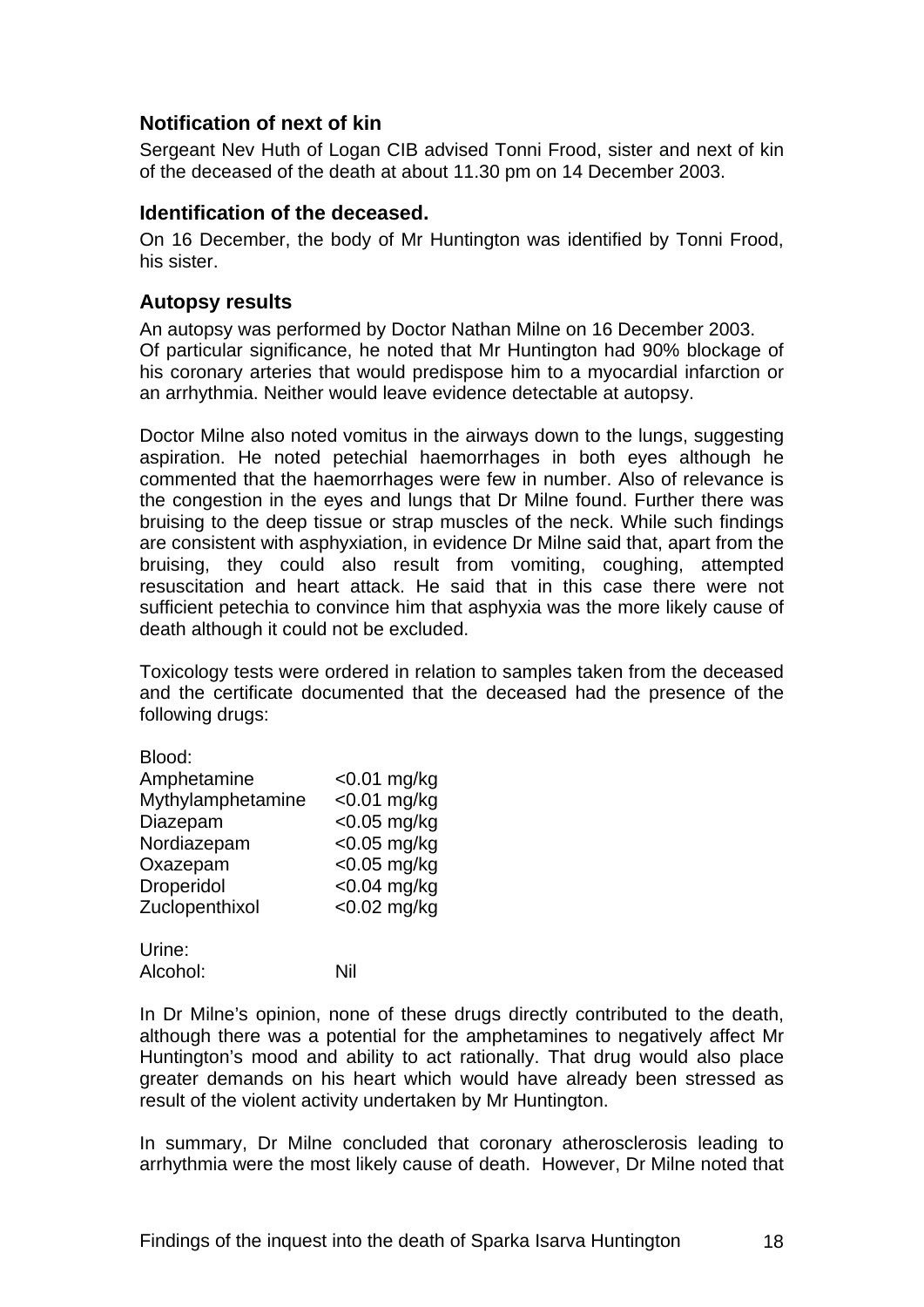#### <span id="page-19-0"></span>**Notification of next of kin**

Sergeant Nev Huth of Logan CIB advised Tonni Frood, sister and next of kin of the deceased of the death at about 11.30 pm on 14 December 2003.

#### **Identification of the deceased.**

On 16 December, the body of Mr Huntington was identified by Tonni Frood, his sister.

#### **Autopsy results**

An autopsy was performed by Doctor Nathan Milne on 16 December 2003. Of particular significance, he noted that Mr Huntington had 90% blockage of his coronary arteries that would predispose him to a myocardial infarction or an arrhythmia. Neither would leave evidence detectable at autopsy.

Doctor Milne also noted vomitus in the airways down to the lungs, suggesting aspiration. He noted petechial haemorrhages in both eyes although he commented that the haemorrhages were few in number. Also of relevance is the congestion in the eyes and lungs that Dr Milne found. Further there was bruising to the deep tissue or strap muscles of the neck. While such findings are consistent with asphyxiation, in evidence Dr Milne said that, apart from the bruising, they could also result from vomiting, coughing, attempted resuscitation and heart attack. He said that in this case there were not sufficient petechia to convince him that asphyxia was the more likely cause of death although it could not be excluded.

Toxicology tests were ordered in relation to samples taken from the deceased and the certificate documented that the deceased had the presence of the following drugs:

| Blood:            |                |
|-------------------|----------------|
| Amphetamine       | $<$ 0.01 mg/kg |
| Mythylamphetamine | $<$ 0.01 mg/kg |
| Diazepam          | <0.05 mg/kg    |
| Nordiazepam       | $<$ 0.05 mg/kg |
| Oxazepam          | $<$ 0.05 mg/kg |
| Droperidol        | $<$ 0.04 mg/kg |
| Zuclopenthixol    | <0.02 mg/kg    |
| Urine:            |                |

Alcohol: Nil

In Dr Milne's opinion, none of these drugs directly contributed to the death, although there was a potential for the amphetamines to negatively affect Mr Huntington's mood and ability to act rationally. That drug would also place greater demands on his heart which would have already been stressed as result of the violent activity undertaken by Mr Huntington.

In summary, Dr Milne concluded that coronary atherosclerosis leading to arrhythmia were the most likely cause of death. However, Dr Milne noted that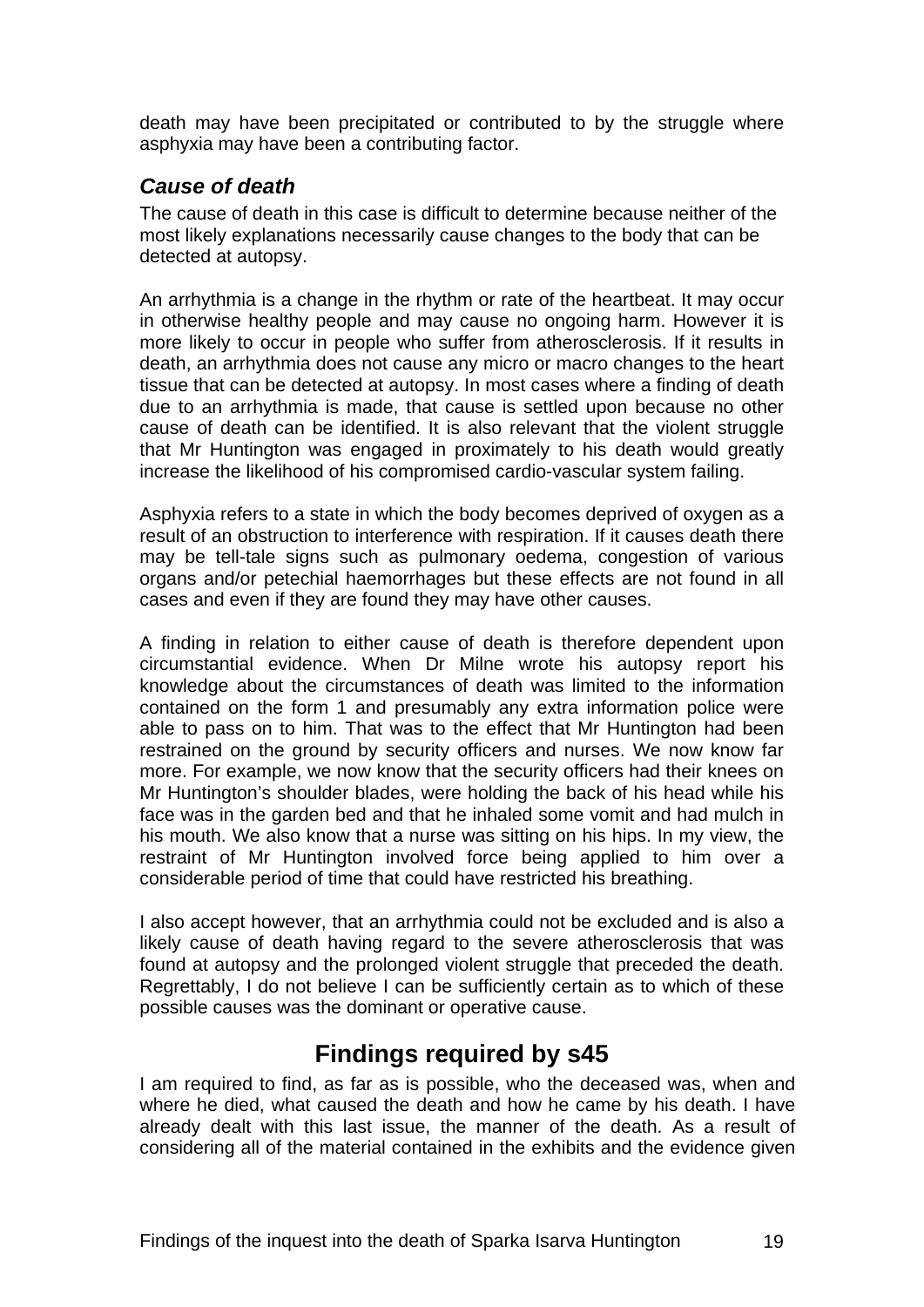<span id="page-20-0"></span>death may have been precipitated or contributed to by the struggle where asphyxia may have been a contributing factor.

### *Cause of death*

The cause of death in this case is difficult to determine because neither of the most likely explanations necessarily cause changes to the body that can be detected at autopsy.

An arrhythmia is a change in the rhythm or rate of the heartbeat. It may occur in otherwise healthy people and may cause no ongoing harm. However it is more likely to occur in people who suffer from atherosclerosis. If it results in death, an arrhythmia does not cause any micro or macro changes to the heart tissue that can be detected at autopsy. In most cases where a finding of death due to an arrhythmia is made, that cause is settled upon because no other cause of death can be identified. It is also relevant that the violent struggle that Mr Huntington was engaged in proximately to his death would greatly increase the likelihood of his compromised cardio-vascular system failing.

Asphyxia refers to a state in which the body becomes deprived of oxygen as a result of an obstruction to interference with respiration. If it causes death there may be tell-tale signs such as pulmonary oedema, congestion of various organs and/or petechial haemorrhages but these effects are not found in all cases and even if they are found they may have other causes.

A finding in relation to either cause of death is therefore dependent upon circumstantial evidence. When Dr Milne wrote his autopsy report his knowledge about the circumstances of death was limited to the information contained on the form 1 and presumably any extra information police were able to pass on to him. That was to the effect that Mr Huntington had been restrained on the ground by security officers and nurses. We now know far more. For example, we now know that the security officers had their knees on Mr Huntington's shoulder blades, were holding the back of his head while his face was in the garden bed and that he inhaled some vomit and had mulch in his mouth. We also know that a nurse was sitting on his hips. In my view, the restraint of Mr Huntington involved force being applied to him over a considerable period of time that could have restricted his breathing.

I also accept however, that an arrhythmia could not be excluded and is also a likely cause of death having regard to the severe atherosclerosis that was found at autopsy and the prolonged violent struggle that preceded the death. Regrettably, I do not believe I can be sufficiently certain as to which of these possible causes was the dominant or operative cause.

## **Findings required by s45**

I am required to find, as far as is possible, who the deceased was, when and where he died, what caused the death and how he came by his death. I have already dealt with this last issue, the manner of the death. As a result of considering all of the material contained in the exhibits and the evidence given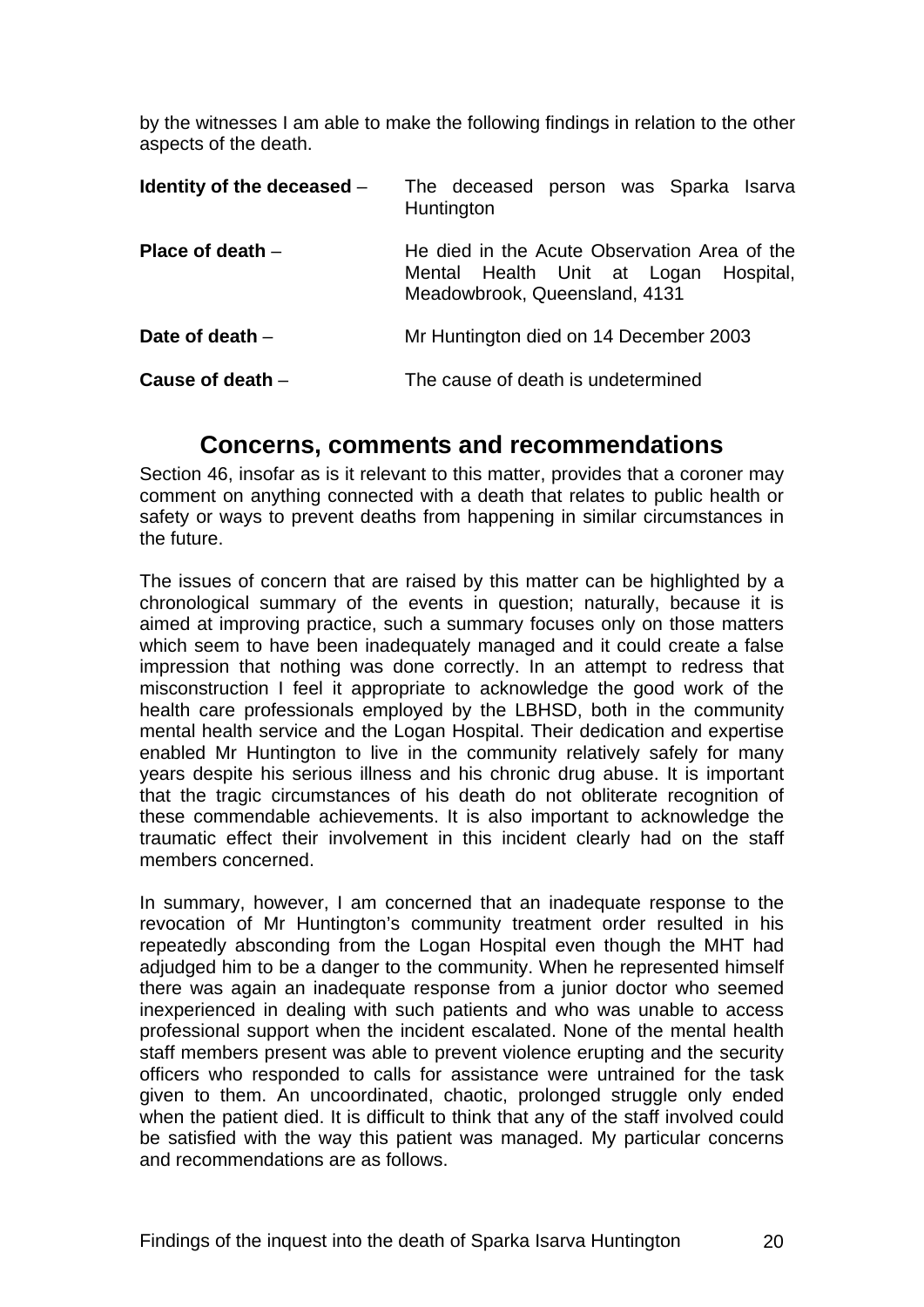<span id="page-21-0"></span>by the witnesses I am able to make the following findings in relation to the other aspects of the death.

| Identity of the deceased $-$ | The deceased person was Sparka Isarva<br>Huntington                                                                    |  |
|------------------------------|------------------------------------------------------------------------------------------------------------------------|--|
| Place of death $-$           | He died in the Acute Observation Area of the<br>Mental Health Unit at Logan Hospital,<br>Meadowbrook, Queensland, 4131 |  |
| Date of death $-$            | Mr Huntington died on 14 December 2003                                                                                 |  |
| Cause of death $-$           | The cause of death is undetermined                                                                                     |  |

## **Concerns, comments and recommendations**

Section 46, insofar as is it relevant to this matter, provides that a coroner may comment on anything connected with a death that relates to public health or safety or ways to prevent deaths from happening in similar circumstances in the future.

The issues of concern that are raised by this matter can be highlighted by a chronological summary of the events in question; naturally, because it is aimed at improving practice, such a summary focuses only on those matters which seem to have been inadequately managed and it could create a false impression that nothing was done correctly. In an attempt to redress that misconstruction I feel it appropriate to acknowledge the good work of the health care professionals employed by the LBHSD, both in the community mental health service and the Logan Hospital. Their dedication and expertise enabled Mr Huntington to live in the community relatively safely for many years despite his serious illness and his chronic drug abuse. It is important that the tragic circumstances of his death do not obliterate recognition of these commendable achievements. It is also important to acknowledge the traumatic effect their involvement in this incident clearly had on the staff members concerned.

In summary, however, I am concerned that an inadequate response to the revocation of Mr Huntington's community treatment order resulted in his repeatedly absconding from the Logan Hospital even though the MHT had adjudged him to be a danger to the community. When he represented himself there was again an inadequate response from a junior doctor who seemed inexperienced in dealing with such patients and who was unable to access professional support when the incident escalated. None of the mental health staff members present was able to prevent violence erupting and the security officers who responded to calls for assistance were untrained for the task given to them. An uncoordinated, chaotic, prolonged struggle only ended when the patient died. It is difficult to think that any of the staff involved could be satisfied with the way this patient was managed. My particular concerns and recommendations are as follows.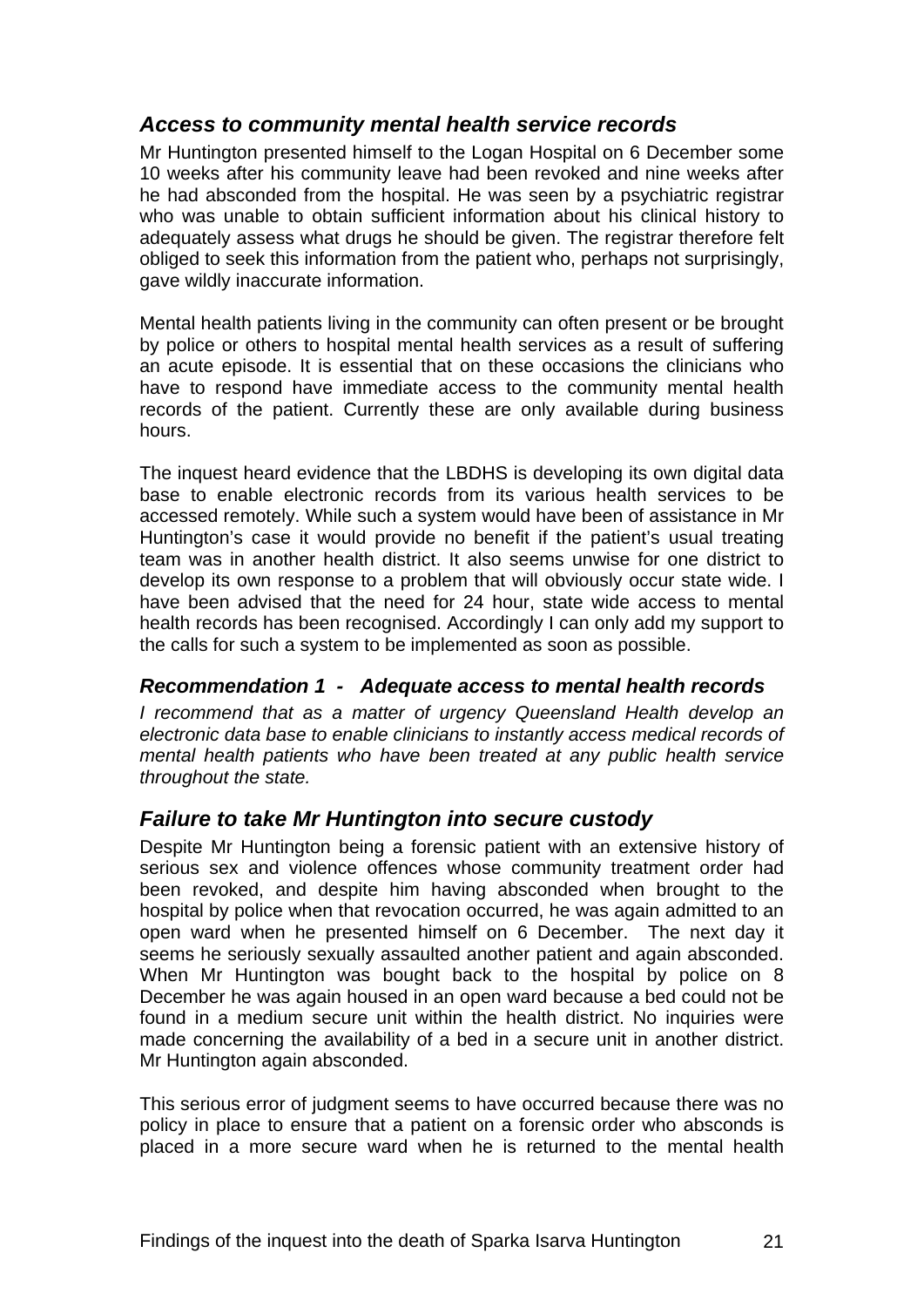#### <span id="page-22-0"></span>*Access to community mental health service records*

Mr Huntington presented himself to the Logan Hospital on 6 December some 10 weeks after his community leave had been revoked and nine weeks after he had absconded from the hospital. He was seen by a psychiatric registrar who was unable to obtain sufficient information about his clinical history to adequately assess what drugs he should be given. The registrar therefore felt obliged to seek this information from the patient who, perhaps not surprisingly, gave wildly inaccurate information.

Mental health patients living in the community can often present or be brought by police or others to hospital mental health services as a result of suffering an acute episode. It is essential that on these occasions the clinicians who have to respond have immediate access to the community mental health records of the patient. Currently these are only available during business hours.

The inquest heard evidence that the LBDHS is developing its own digital data base to enable electronic records from its various health services to be accessed remotely. While such a system would have been of assistance in Mr Huntington's case it would provide no benefit if the patient's usual treating team was in another health district. It also seems unwise for one district to develop its own response to a problem that will obviously occur state wide. I have been advised that the need for 24 hour, state wide access to mental health records has been recognised. Accordingly I can only add my support to the calls for such a system to be implemented as soon as possible.

#### *Recommendation 1 - Adequate access to mental health records*

*I recommend that as a matter of urgency Queensland Health develop an electronic data base to enable clinicians to instantly access medical records of mental health patients who have been treated at any public health service throughout the state.* 

#### *Failure to take Mr Huntington into secure custody*

Despite Mr Huntington being a forensic patient with an extensive history of serious sex and violence offences whose community treatment order had been revoked, and despite him having absconded when brought to the hospital by police when that revocation occurred, he was again admitted to an open ward when he presented himself on 6 December. The next day it seems he seriously sexually assaulted another patient and again absconded. When Mr Huntington was bought back to the hospital by police on 8 December he was again housed in an open ward because a bed could not be found in a medium secure unit within the health district. No inquiries were made concerning the availability of a bed in a secure unit in another district. Mr Huntington again absconded.

This serious error of judgment seems to have occurred because there was no policy in place to ensure that a patient on a forensic order who absconds is placed in a more secure ward when he is returned to the mental health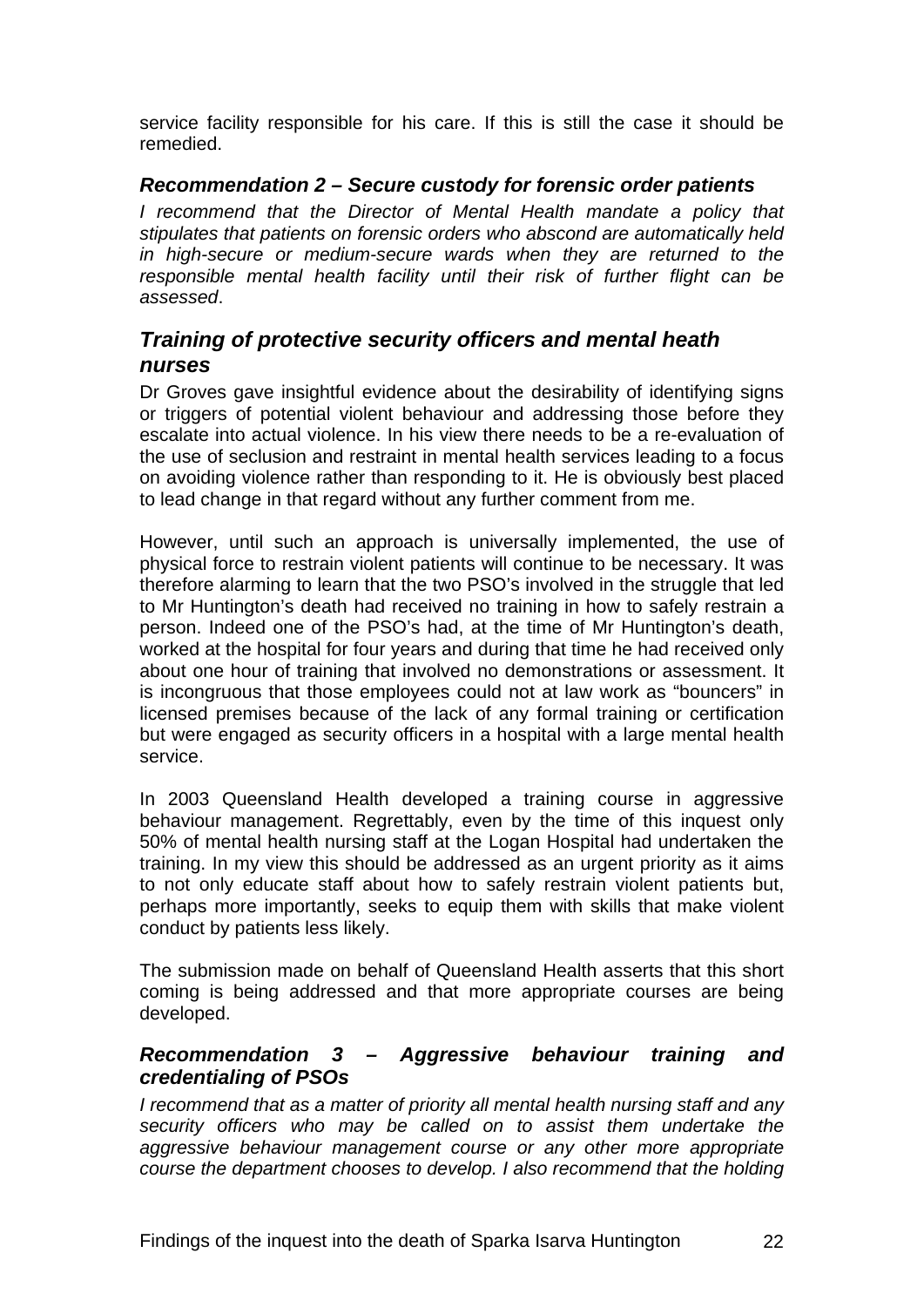<span id="page-23-0"></span>service facility responsible for his care. If this is still the case it should be remedied.

#### *Recommendation 2 – Secure custody for forensic order patients*

*I* recommend that the Director of Mental Health mandate a policy that *stipulates that patients on forensic orders who abscond are automatically held in high-secure or medium-secure wards when they are returned to the responsible mental health facility until their risk of further flight can be assessed*.

## *Training of protective security officers and mental heath nurses*

Dr Groves gave insightful evidence about the desirability of identifying signs or triggers of potential violent behaviour and addressing those before they escalate into actual violence. In his view there needs to be a re-evaluation of the use of seclusion and restraint in mental health services leading to a focus on avoiding violence rather than responding to it. He is obviously best placed to lead change in that regard without any further comment from me.

However, until such an approach is universally implemented, the use of physical force to restrain violent patients will continue to be necessary. It was therefore alarming to learn that the two PSO's involved in the struggle that led to Mr Huntington's death had received no training in how to safely restrain a person. Indeed one of the PSO's had, at the time of Mr Huntington's death, worked at the hospital for four years and during that time he had received only about one hour of training that involved no demonstrations or assessment. It is incongruous that those employees could not at law work as "bouncers" in licensed premises because of the lack of any formal training or certification but were engaged as security officers in a hospital with a large mental health service.

In 2003 Queensland Health developed a training course in aggressive behaviour management. Regrettably, even by the time of this inquest only 50% of mental health nursing staff at the Logan Hospital had undertaken the training. In my view this should be addressed as an urgent priority as it aims to not only educate staff about how to safely restrain violent patients but, perhaps more importantly, seeks to equip them with skills that make violent conduct by patients less likely.

The submission made on behalf of Queensland Health asserts that this short coming is being addressed and that more appropriate courses are being developed.

#### *Recommendation 3 – Aggressive behaviour training and credentialing of PSOs*

*I recommend that as a matter of priority all mental health nursing staff and any security officers who may be called on to assist them undertake the aggressive behaviour management course or any other more appropriate course the department chooses to develop. I also recommend that the holding*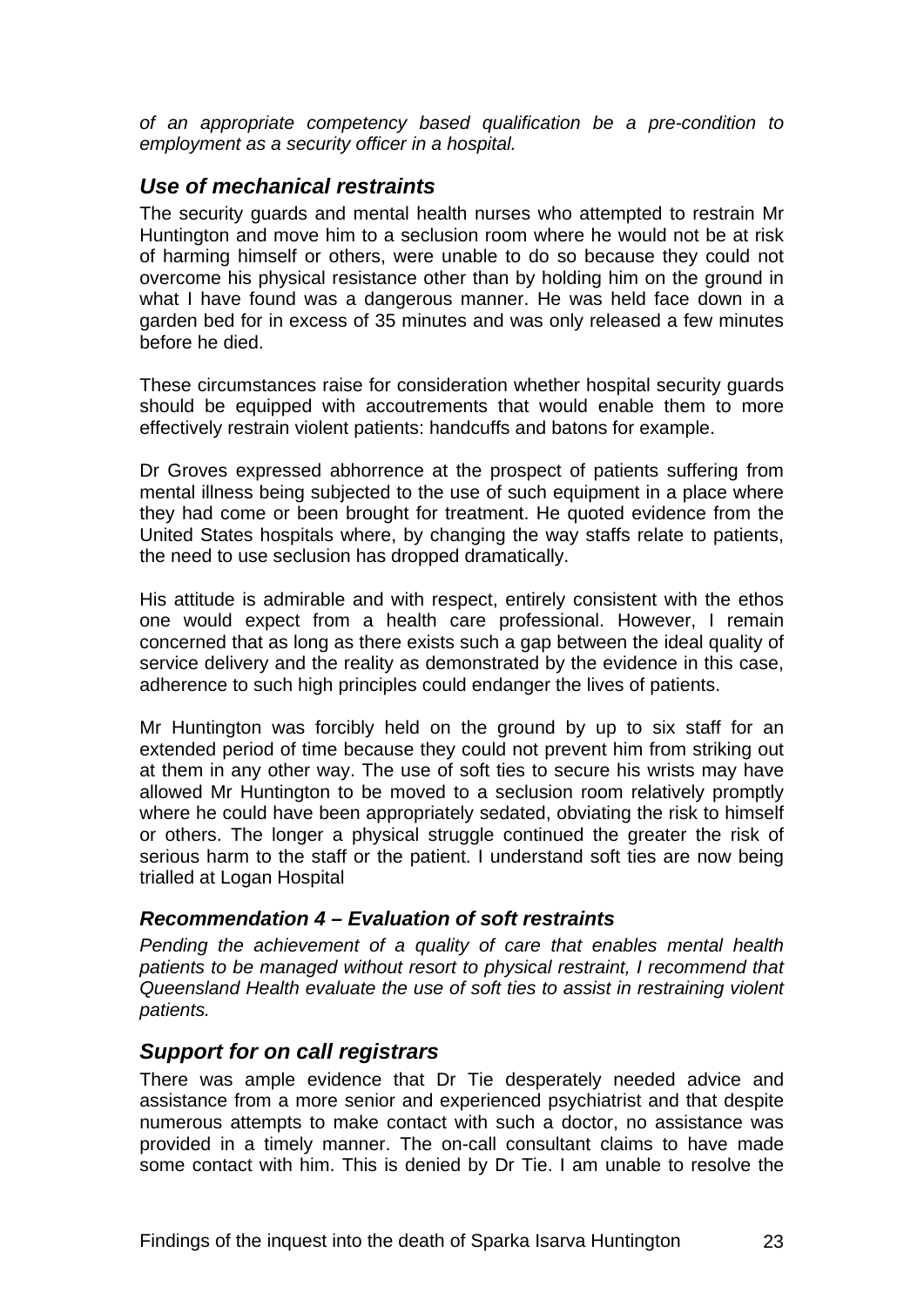<span id="page-24-0"></span>*of an appropriate competency based qualification be a pre-condition to employment as a security officer in a hospital.* 

### *Use of mechanical restraints*

The security guards and mental health nurses who attempted to restrain Mr Huntington and move him to a seclusion room where he would not be at risk of harming himself or others, were unable to do so because they could not overcome his physical resistance other than by holding him on the ground in what I have found was a dangerous manner. He was held face down in a garden bed for in excess of 35 minutes and was only released a few minutes before he died.

These circumstances raise for consideration whether hospital security guards should be equipped with accoutrements that would enable them to more effectively restrain violent patients: handcuffs and batons for example.

Dr Groves expressed abhorrence at the prospect of patients suffering from mental illness being subjected to the use of such equipment in a place where they had come or been brought for treatment. He quoted evidence from the United States hospitals where, by changing the way staffs relate to patients, the need to use seclusion has dropped dramatically.

His attitude is admirable and with respect, entirely consistent with the ethos one would expect from a health care professional. However, I remain concerned that as long as there exists such a gap between the ideal quality of service delivery and the reality as demonstrated by the evidence in this case, adherence to such high principles could endanger the lives of patients.

Mr Huntington was forcibly held on the ground by up to six staff for an extended period of time because they could not prevent him from striking out at them in any other way. The use of soft ties to secure his wrists may have allowed Mr Huntington to be moved to a seclusion room relatively promptly where he could have been appropriately sedated, obviating the risk to himself or others. The longer a physical struggle continued the greater the risk of serious harm to the staff or the patient. I understand soft ties are now being trialled at Logan Hospital

#### *Recommendation 4 – Evaluation of soft restraints*

*Pending the achievement of a quality of care that enables mental health patients to be managed without resort to physical restraint, I recommend that Queensland Health evaluate the use of soft ties to assist in restraining violent patients.* 

### *Support for on call registrars*

There was ample evidence that Dr Tie desperately needed advice and assistance from a more senior and experienced psychiatrist and that despite numerous attempts to make contact with such a doctor, no assistance was provided in a timely manner. The on-call consultant claims to have made some contact with him. This is denied by Dr Tie. I am unable to resolve the